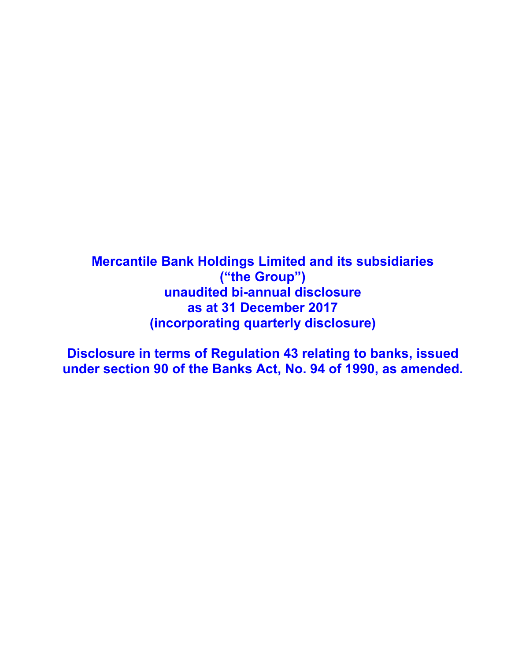**Mercantile Bank Holdings Limited and its subsidiaries ("the Group") unaudited bi-annual disclosure as at 31 December 2017 (incorporating quarterly disclosure)**

**Disclosure in terms of Regulation 43 relating to banks, issued under section 90 of the Banks Act, No. 94 of 1990, as amended.**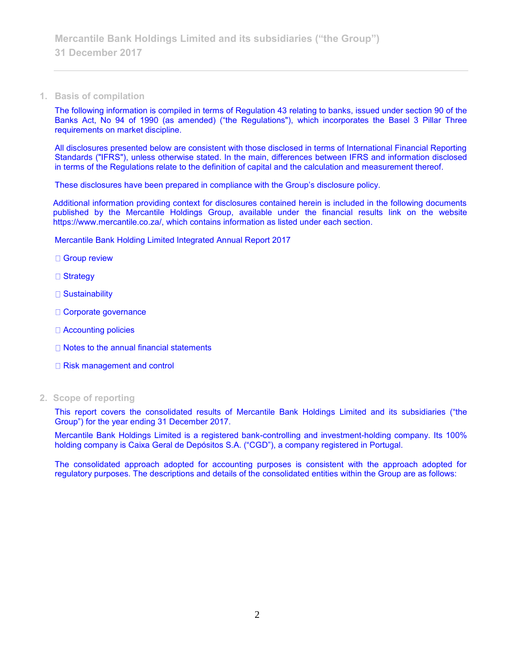#### **1. Basis of compilation**

The following information is compiled in terms of Regulation 43 relating to banks, issued under section 90 of the Banks Act, No 94 of 1990 (as amended) ("the Regulations"), which incorporates the Basel 3 Pillar Three requirements on market discipline.

All disclosures presented below are consistent with those disclosed in terms of International Financial Reporting Standards ("IFRS"), unless otherwise stated. In the main, differences between IFRS and information disclosed in terms of the Regulations relate to the definition of capital and the calculation and measurement thereof.

These disclosures have been prepared in compliance with the Group's disclosure policy.

Additional information providing context for disclosures contained herein is included in the following documents published by the Mercantile Holdings Group, available under the financial results link on the website https://www.mercantile.co.za/, which contains information as listed under each section.

Mercantile Bank Holding Limited Integrated Annual Report 2017

- □ Group review
- □ Strategy
- □ Sustainability
- Corporate governance
- □ Accounting policies
- $\Box$  Notes to the annual financial statements
- □ Risk management and control
- **2. Scope of reporting**

This report covers the consolidated results of Mercantile Bank Holdings Limited and its subsidiaries ("the Group") for the year ending 31 December 2017.

Mercantile Bank Holdings Limited is a registered bank-controlling and investment-holding company. Its 100% holding company is Caixa Geral de Depósitos S.A. ("CGD"), a company registered in Portugal.

The consolidated approach adopted for accounting purposes is consistent with the approach adopted for regulatory purposes. The descriptions and details of the consolidated entities within the Group are as follows: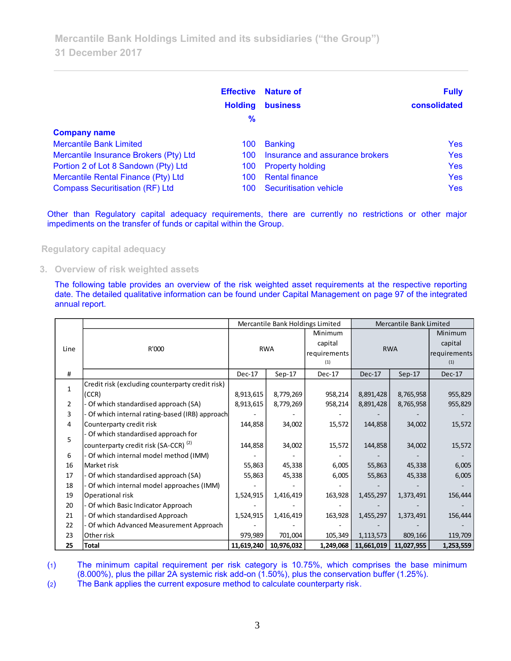|                                        | <b>Effective</b><br><b>Holding</b><br>$\frac{9}{6}$ | <b>Nature of</b><br><b>business</b> | <b>Fully</b><br>consolidated |
|----------------------------------------|-----------------------------------------------------|-------------------------------------|------------------------------|
| <b>Company name</b>                    |                                                     |                                     |                              |
| <b>Mercantile Bank Limited</b>         | 100                                                 | <b>Banking</b>                      | Yes                          |
| Mercantile Insurance Brokers (Pty) Ltd | 100                                                 | Insurance and assurance brokers     | <b>Yes</b>                   |
| Portion 2 of Lot 8 Sandown (Pty) Ltd   | 100                                                 | <b>Property holding</b>             | <b>Yes</b>                   |
| Mercantile Rental Finance (Pty) Ltd    | 100                                                 | <b>Rental finance</b>               | <b>Yes</b>                   |
| <b>Compass Securitisation (RF) Ltd</b> | 100                                                 | Securitisation vehicle              | <b>Yes</b>                   |

Other than Regulatory capital adequacy requirements, there are currently no restrictions or other major impediments on the transfer of funds or capital within the Group.

**Regulatory capital adequacy**

**3. Overview of risk weighted assets**

The following table provides an overview of the risk weighted asset requirements at the respective reporting date. The detailed qualitative information can be found under Capital Management on page 97 of the integrated annual report.

|              |                                                  |            | Mercantile Bank Holdings Limited |              | Mercantile Bank Limited |            |              |
|--------------|--------------------------------------------------|------------|----------------------------------|--------------|-------------------------|------------|--------------|
|              |                                                  |            |                                  | Minimum      |                         |            | Minimum      |
| Line         | R'000                                            |            | <b>RWA</b>                       | capital      | <b>RWA</b>              |            | capital      |
|              |                                                  |            |                                  | requirements |                         |            | requirements |
|              |                                                  |            |                                  | (1)          |                         |            | (1)          |
| #            |                                                  | $Dec-17$   | $Sep-17$                         | Dec-17       | Dec-17                  | $Sep-17$   | Dec-17       |
| $\mathbf{1}$ | Credit risk (excluding counterparty credit risk) |            |                                  |              |                         |            |              |
|              | (CCR)                                            | 8,913,615  | 8,779,269                        | 958,214      | 8,891,428               | 8,765,958  | 955,829      |
| 2            | Of which standardised approach (SA)              | 8,913,615  | 8,779,269                        | 958,214      | 8,891,428               | 8,765,958  | 955,829      |
| 3            | Of which internal rating-based (IRB) approach    |            |                                  |              |                         |            |              |
| 4            | Counterparty credit risk                         | 144,858    | 34,002                           | 15,572       | 144,858                 | 34,002     | 15,572       |
| 5            | Of which standardised approach for               |            |                                  |              |                         |            |              |
|              | counterparty credit risk (SA-CCR) <sup>(2)</sup> | 144,858    | 34,002                           | 15,572       | 144,858                 | 34,002     | 15,572       |
| 6            | Of which internal model method (IMM)             |            |                                  |              |                         |            |              |
| 16           | Market risk                                      | 55,863     | 45,338                           | 6,005        | 55,863                  | 45,338     | 6,005        |
| 17           | Of which standardised approach (SA)              | 55,863     | 45,338                           | 6,005        | 55,863                  | 45,338     | 6,005        |
| 18           | Of which internal model approaches (IMM)         |            |                                  |              |                         |            |              |
| 19           | Operational risk                                 | 1,524,915  | 1,416,419                        | 163,928      | 1,455,297               | 1,373,491  | 156,444      |
| 20           | Of which Basic Indicator Approach                |            |                                  |              |                         |            |              |
| 21           | Of which standardised Approach                   | 1,524,915  | 1,416,419                        | 163,928      | 1,455,297               | 1,373,491  | 156,444      |
| 22           | Of which Advanced Measurement Approach           |            |                                  |              |                         |            |              |
| 23           | Other risk                                       | 979,989    | 701,004                          | 105,349      | 1,113,573               | 809,166    | 119,709      |
| 25           | Total                                            | 11,619,240 | 10,976,032                       | 1,249,068    | 11,661,019              | 11,027,955 | 1,253,559    |

(1) The minimum capital requirement per risk category is 10.75%, which comprises the base minimum (8.000%), plus the pillar 2A systemic risk add-on (1.50%), plus the conservation buffer (1.25%).

(2) The Bank applies the current exposure method to calculate counterparty risk.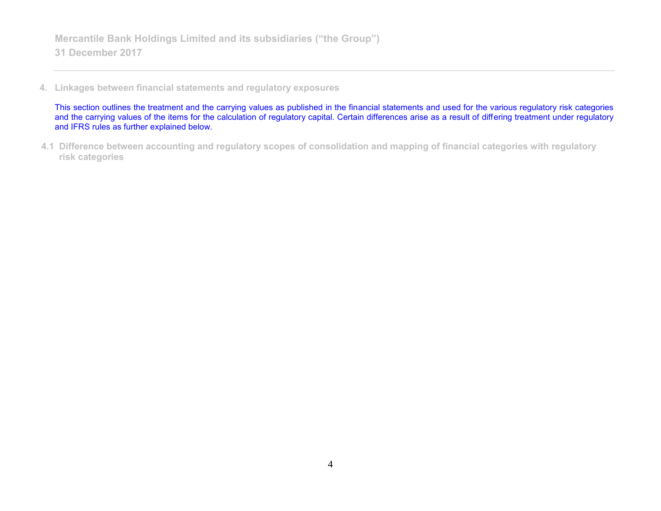**4. Linkages between financial statements and regulatory exposures**

This section outlines the treatment and the carrying values as published in the financial statements and used for the various regulatory risk categories and the carrying values of the items for the calculation of regulatory capital. Certain differences arise as a result of differing treatment under regulatory and IFRS rules as further explained below.

**4.1 Difference between accounting and regulatory scopes of consolidation and mapping of financial categories with regulatory risk categories**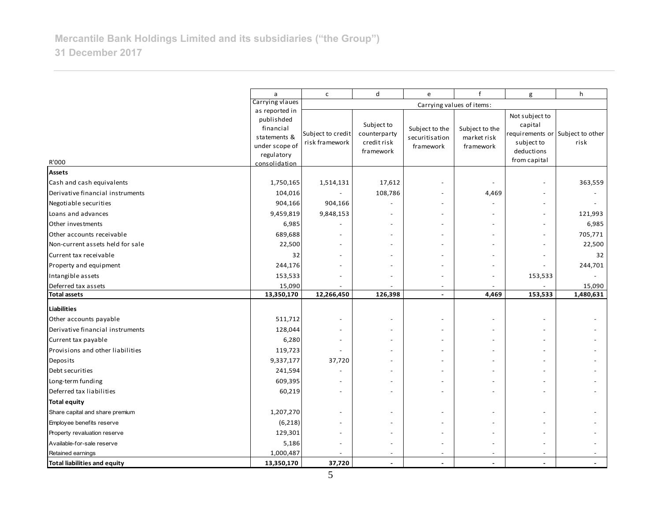|                                     | a                                                                                                          | $\mathsf{C}$                        | d                                                      | e                                                                          | $\mathbf{f}$                               | g                                                                                        | h                        |
|-------------------------------------|------------------------------------------------------------------------------------------------------------|-------------------------------------|--------------------------------------------------------|----------------------------------------------------------------------------|--------------------------------------------|------------------------------------------------------------------------------------------|--------------------------|
|                                     | Carrying vlaues                                                                                            |                                     |                                                        |                                                                            |                                            |                                                                                          |                          |
| R'000                               | as reported in<br>publishded<br>financial<br>statements &<br>under scope of<br>regulatory<br>consolidation | Subject to credit<br>risk framework | Subject to<br>counterparty<br>credit risk<br>framework | Carrying values of items:<br>Subject to the<br>securitisation<br>framework | Subject to the<br>market risk<br>framework | Not subject to<br>capital<br>requirements or<br>subject to<br>deductions<br>from capital | Subject to other<br>risk |
| <b>Assets</b>                       |                                                                                                            |                                     |                                                        |                                                                            |                                            |                                                                                          |                          |
| Cash and cash equivalents           | 1,750,165                                                                                                  | 1,514,131                           | 17,612                                                 |                                                                            |                                            | $\overline{a}$                                                                           | 363,559                  |
| Derivative financial instruments    | 104,016                                                                                                    |                                     | 108,786                                                |                                                                            | 4,469                                      | $\overline{\phantom{a}}$                                                                 |                          |
| Negotiable securities               | 904,166                                                                                                    | 904,166                             |                                                        |                                                                            |                                            | $\overline{\phantom{a}}$                                                                 |                          |
| Loans and advances                  | 9,459,819                                                                                                  | 9,848,153                           |                                                        |                                                                            |                                            | $\overline{\phantom{a}}$                                                                 | 121,993                  |
| Other investments                   | 6,985                                                                                                      |                                     |                                                        |                                                                            |                                            | $\overline{\phantom{a}}$                                                                 | 6,985                    |
| Other accounts receivable           | 689,688                                                                                                    |                                     |                                                        |                                                                            |                                            | $\overline{\phantom{a}}$                                                                 | 705,771                  |
| Non-current assets held for sale    | 22,500                                                                                                     |                                     |                                                        |                                                                            |                                            | $\overline{\phantom{a}}$                                                                 | 22,500                   |
| Current tax receivable              | 32                                                                                                         |                                     |                                                        |                                                                            |                                            | $\overline{\phantom{a}}$                                                                 | 32                       |
| Property and equipment              | 244,176                                                                                                    |                                     |                                                        |                                                                            |                                            |                                                                                          | 244,701                  |
| Intangible assets                   | 153,533                                                                                                    |                                     |                                                        |                                                                            |                                            | 153,533                                                                                  |                          |
| Deferred tax assets                 | 15,090                                                                                                     |                                     |                                                        |                                                                            |                                            |                                                                                          | 15,090                   |
| <b>Total assets</b>                 | 13,350,170                                                                                                 | 12,266,450                          | 126,398                                                | $\sim$                                                                     | 4,469                                      | 153,533                                                                                  | 1,480,631                |
| <b>Liabilities</b>                  |                                                                                                            |                                     |                                                        |                                                                            |                                            |                                                                                          |                          |
| Other accounts payable              | 511,712                                                                                                    |                                     |                                                        |                                                                            |                                            |                                                                                          |                          |
| Derivative financial instruments    | 128,044                                                                                                    |                                     |                                                        |                                                                            |                                            | ÷,                                                                                       |                          |
| Current tax payable                 | 6,280                                                                                                      |                                     |                                                        |                                                                            |                                            | $\overline{a}$                                                                           |                          |
| Provisions and other liabilities    | 119,723                                                                                                    |                                     |                                                        |                                                                            |                                            | $\overline{a}$                                                                           |                          |
| Deposits                            | 9,337,177                                                                                                  | 37,720                              |                                                        |                                                                            |                                            | $\overline{a}$                                                                           |                          |
| Debt securities                     | 241,594                                                                                                    |                                     |                                                        |                                                                            |                                            | $\overline{\phantom{a}}$                                                                 |                          |
| Long-term funding                   | 609,395                                                                                                    |                                     |                                                        |                                                                            |                                            |                                                                                          |                          |
| Deferred tax liabilities            | 60,219                                                                                                     |                                     |                                                        |                                                                            |                                            | ÷,                                                                                       |                          |
| <b>Total equity</b>                 |                                                                                                            |                                     |                                                        |                                                                            |                                            |                                                                                          |                          |
| Share capital and share premium     | 1,207,270                                                                                                  |                                     |                                                        |                                                                            |                                            |                                                                                          |                          |
| Employee benefits reserve           | (6, 218)                                                                                                   |                                     |                                                        |                                                                            |                                            |                                                                                          |                          |
| Property revaluation reserve        | 129,301                                                                                                    |                                     |                                                        |                                                                            |                                            |                                                                                          |                          |
| Available-for-sale reserve          | 5,186                                                                                                      |                                     |                                                        |                                                                            |                                            | $\overline{\phantom{a}}$                                                                 |                          |
| Retained earnings                   | 1,000,487                                                                                                  |                                     |                                                        |                                                                            |                                            | $\overline{\phantom{a}}$                                                                 |                          |
| <b>Total liabilities and equity</b> | 13,350,170                                                                                                 | 37,720                              |                                                        |                                                                            |                                            | $\sim$                                                                                   |                          |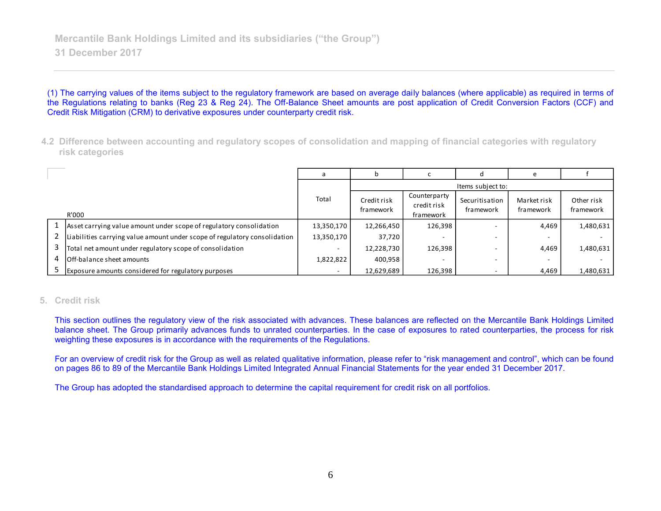(1) The carrying values of the items subject to the regulatory framework are based on average daily balances (where applicable) as required in terms of the Regulations relating to banks (Reg 23 & Reg 24). The Off-Balance Sheet amounts are post application of Credit Conversion Factors (CCF) and Credit Risk Mitigation (CRM) to derivative exposures under counterparty credit risk.

**4.2 Difference between accounting and regulatory scopes of consolidation and mapping of financial categories with regulatory risk categories**

|                                                                           |            |                          |                                          | Items subject to:           |                          |                         |
|---------------------------------------------------------------------------|------------|--------------------------|------------------------------------------|-----------------------------|--------------------------|-------------------------|
| R'000                                                                     | Total      | Credit risk<br>framework | Counterparty<br>credit risk<br>framework | Securitisation<br>framework | Market risk<br>framework | Other risk<br>framework |
| Asset carrying value amount under scope of regulatory consolidation       | 13,350,170 | 12,266,450               | 126,398                                  |                             | 4,469                    | 1,480,631               |
| Liabilities carrying value amount under scope of regulatory consolidation | 13,350,170 | 37,720                   | -                                        |                             |                          |                         |
| Total net amount under regulatory scope of consolidation                  |            | 12,228,730               | 126,398                                  |                             | 4,469                    | 1,480,631               |
| <b>I</b> Off-balance sheet amounts                                        | 1,822,822  | 400,958                  | $\overline{\phantom{a}}$                 |                             | $\overline{\phantom{0}}$ |                         |
| Exposure amounts considered for regulatory purposes                       | $\sim$     | 12,629,689               | 126,398                                  |                             | 4,469                    | 1,480,631               |

#### **5. Credit risk**

This section outlines the regulatory view of the risk associated with advances. These balances are reflected on the Mercantile Bank Holdings Limited balance sheet. The Group primarily advances funds to unrated counterparties. In the case of exposures to rated counterparties, the process for risk weighting these exposures is in accordance with the requirements of the Regulations.

For an overview of credit risk for the Group as well as related qualitative information, please refer to "risk management and control", which can be found on pages 86 to 89 of the Mercantile Bank Holdings Limited Integrated Annual Financial Statements for the year ended 31 December 2017.

The Group has adopted the standardised approach to determine the capital requirement for credit risk on all portfolios.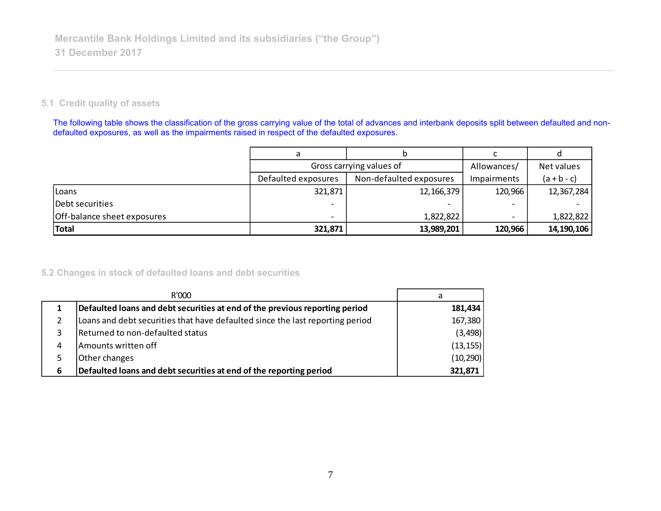## **5.1 Credit quality of assets**

The following table shows the classification of the gross carrying value of the total of advances and interbank deposits split between defaulted and nondefaulted exposures, as well as the impairments raised in respect of the defaulted exposures.

|                             |                          | Gross carrying values of<br>Allowances/ |             |               |
|-----------------------------|--------------------------|-----------------------------------------|-------------|---------------|
|                             | Defaulted exposures      | Non-defaulted exposures                 | Impairments | $(a + b - c)$ |
| Loans                       | 321,871                  | 12, 166, 379                            | 120,966     | 12,367,284    |
| Debt securities             |                          |                                         |             |               |
| Off-balance sheet exposures | $\overline{\phantom{0}}$ | 1,822,822                               |             | 1,822,822     |
| Total                       | 321,871                  | 13,989,201                              | 120,966     | 14,190,106    |

## **5.2 Changes in stock of defaulted loans and debt securities**

|   | R'000                                                                         | a         |
|---|-------------------------------------------------------------------------------|-----------|
|   | Defaulted loans and debt securities at end of the previous reporting period   | 181,434   |
|   | Loans and debt securities that have defaulted since the last reporting period | 167,380   |
| 3 | Returned to non-defaulted status                                              | (3, 498)  |
| 4 | Amounts written off                                                           | (13, 155) |
| 5 | Other changes                                                                 | (10, 290) |
| 6 | Defaulted loans and debt securities at end of the reporting period            | 321,871   |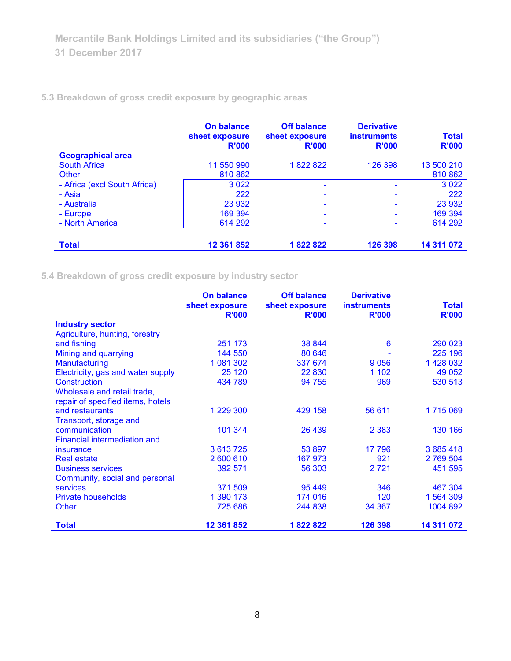## **5.3 Breakdown of gross credit exposure by geographic areas**

|                              | On balance<br>sheet exposure<br><b>R'000</b> | <b>Off balance</b><br>sheet exposure<br><b>R'000</b> | <b>Derivative</b><br><b>instruments</b><br><b>R'000</b> | <b>Total</b><br><b>R'000</b> |
|------------------------------|----------------------------------------------|------------------------------------------------------|---------------------------------------------------------|------------------------------|
| <b>Geographical area</b>     |                                              |                                                      |                                                         |                              |
| <b>South Africa</b>          | 11 550 990                                   | 1822822                                              | 126 398                                                 | 13 500 210                   |
| Other                        | 810 862                                      |                                                      |                                                         | 810 862                      |
| - Africa (excl South Africa) | 3 0 2 2                                      |                                                      |                                                         | 3 0 2 2                      |
| - Asia                       | 222                                          |                                                      |                                                         | 222                          |
| - Australia                  | 23 932                                       | $\overline{\phantom{0}}$                             |                                                         | 23 932                       |
| - Europe                     | 169 394                                      |                                                      |                                                         | 169 394                      |
| - North America              | 614 292                                      |                                                      |                                                         | 614 292                      |
|                              |                                              |                                                      |                                                         |                              |
| <b>Total</b>                 | 12 361 852                                   | 1822822                                              | 126 398                                                 | 14 311 072                   |

**5.4 Breakdown of gross credit exposure by industry sector**

|                                   | <b>On balance</b><br>sheet exposure | <b>Off balance</b><br>sheet exposure | <b>Derivative</b><br><b>instruments</b> | <b>Total</b> |
|-----------------------------------|-------------------------------------|--------------------------------------|-----------------------------------------|--------------|
|                                   | <b>R'000</b>                        | <b>R'000</b>                         | <b>R'000</b>                            | <b>R'000</b> |
| <b>Industry sector</b>            |                                     |                                      |                                         |              |
| Agriculture, hunting, forestry    |                                     |                                      |                                         |              |
| and fishing                       | 251 173                             | 38 844                               | 6                                       | 290 023      |
| Mining and quarrying              | 144 550                             | 80 646                               |                                         | 225 196      |
| <b>Manufacturing</b>              | 1 081 302                           | 337 674                              | 9056                                    | 1 428 032    |
| Electricity, gas and water supply | 25 1 20                             | 22 830                               | 1 1 0 2                                 | 49 0 52      |
| Construction                      | 434 789                             | 94 755                               | 969                                     | 530 513      |
| Wholesale and retail trade,       |                                     |                                      |                                         |              |
| repair of specified items, hotels |                                     |                                      |                                         |              |
| and restaurants                   | 1 229 300                           | 429 158                              | 56 611                                  | 1715069      |
| Transport, storage and            |                                     |                                      |                                         |              |
| communication                     | 101 344                             | 26 439                               | 2 3 8 3                                 | 130 166      |
| Financial intermediation and      |                                     |                                      |                                         |              |
| insurance                         | 3 613 725                           | 53 897                               | 17 796                                  | 3 685 418    |
| <b>Real estate</b>                | 2 600 610                           | 167 973                              | 921                                     | 2 769 504    |
| <b>Business services</b>          | 392 571                             | 56 303                               | 2 7 2 1                                 | 451 595      |
| Community, social and personal    |                                     |                                      |                                         |              |
| <b>services</b>                   | 371 509                             | 95 449                               | 346                                     | 467 304      |
| <b>Private households</b>         | 1 390 173                           | 174 016                              | 120                                     | 1 564 309    |
| <b>Other</b>                      | 725 686                             | 244 838                              | 34 367                                  | 1004 892     |
|                                   |                                     |                                      |                                         |              |
| <b>Total</b>                      | 12 361 852                          | 1822822                              | 126 398                                 | 14 311 072   |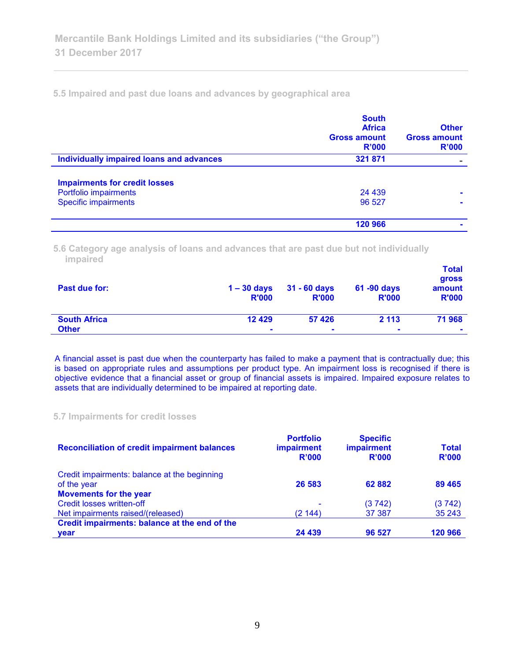**5.5 Impaired and past due loans and advances by geographical area**

|                                          | <b>South</b><br><b>Africa</b><br><b>Gross amount</b><br>R'000 | <b>Other</b><br><b>Gross amount</b><br>R'000 |
|------------------------------------------|---------------------------------------------------------------|----------------------------------------------|
| Individually impaired loans and advances | 321 871                                                       |                                              |
| <b>Impairments for credit losses</b>     |                                                               |                                              |
| Portfolio impairments                    | 24 4 39                                                       | $\blacksquare$                               |
| <b>Specific impairments</b>              | 96 527                                                        |                                              |
|                                          | 120 966                                                       |                                              |

**5.6 Category age analysis of loans and advances that are past due but not individually impaired** 

| Past due for:       | $1 - 30$ days<br><b>R'000</b> | 31 - 60 days<br><b>R'000</b> | 61 -90 days<br><b>R'000</b> | <b>Total</b><br>gross<br>amount<br><b>R'000</b> |
|---------------------|-------------------------------|------------------------------|-----------------------------|-------------------------------------------------|
| <b>South Africa</b> | 12 4 29                       | 57 4 26                      | 2 1 1 3                     | 71 968                                          |
| <b>Other</b>        | $\blacksquare$                | $\blacksquare$               | $\blacksquare$              | $\blacksquare$                                  |

A financial asset is past due when the counterparty has failed to make a payment that is contractually due; this is based on appropriate rules and assumptions per product type. An impairment loss is recognised if there is objective evidence that a financial asset or group of financial assets is impaired. Impaired exposure relates to assets that are individually determined to be impaired at reporting date.

#### **5.7 Impairments for credit losses**

| <b>Reconciliation of credit impairment balances</b> | <b>Portfolio</b><br><b>impairment</b><br>R'000 | <b>Specific</b><br><b>impairment</b><br>R'000 | Total<br>R'000 |
|-----------------------------------------------------|------------------------------------------------|-----------------------------------------------|----------------|
| Credit impairments: balance at the beginning        |                                                |                                               |                |
| of the year                                         | 26 583                                         | 62882                                         | 89 4 65        |
| <b>Movements for the year</b>                       |                                                |                                               |                |
| <b>Credit losses written-off</b>                    |                                                | (3742)                                        | (3742)         |
| Net impairments raised/(released)                   | (2144)                                         | 37 387                                        | 35 243         |
| Credit impairments: balance at the end of the       |                                                |                                               |                |
| <b>vear</b>                                         | 24 439                                         | 96 527                                        | 120 966        |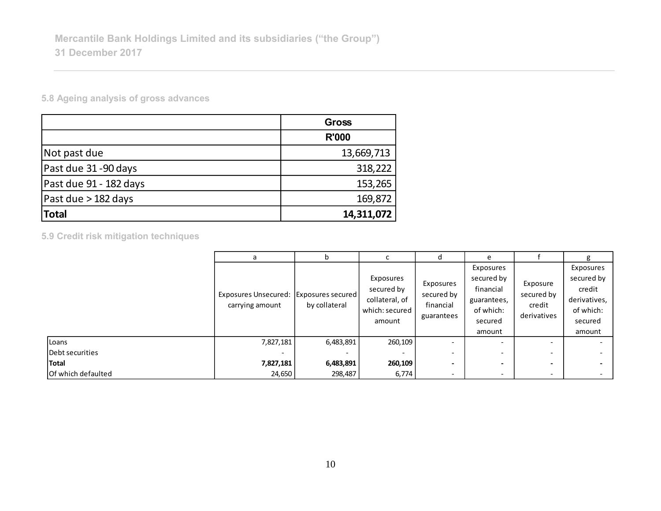**5.8 Ageing analysis of gross advances**

|                        | <b>Gross</b> |
|------------------------|--------------|
|                        | <b>R'000</b> |
| Not past due           | 13,669,713   |
| Past due 31-90 days    | 318,222      |
| Past due 91 - 182 days | 153,265      |
| Past due > 182 days    | 169,872      |
| <b>Total</b>           | 14,311,072   |

**5.9 Credit risk mitigation techniques**

|                           | а                                                         |               |                                                                       | d                                                  | e                                                                                                                                                 |                                                 |                                                                                     |
|---------------------------|-----------------------------------------------------------|---------------|-----------------------------------------------------------------------|----------------------------------------------------|---------------------------------------------------------------------------------------------------------------------------------------------------|-------------------------------------------------|-------------------------------------------------------------------------------------|
|                           | Exposures Unsecured: Exposures secured<br>carrying amount | by collateral | Exposures<br>secured by<br>collateral, of<br>which: secured<br>amount | Exposures<br>secured by<br>financial<br>guarantees | Exposures<br>secured by<br>financial<br>guarantees,<br>of which:<br>secured<br>amount                                                             | Exposure<br>secured by<br>credit<br>derivatives | Exposures<br>secured by<br>credit<br>derivatives,<br>of which:<br>secured<br>amount |
| Loans                     | 7,827,181                                                 | 6,483,891     | 260,109                                                               | $\overline{\phantom{0}}$                           | $\overline{\phantom{a}}$                                                                                                                          | $\overline{\phantom{0}}$                        |                                                                                     |
| Debt securities           |                                                           |               |                                                                       | $\overline{\phantom{0}}$                           | $\overline{\phantom{0}}$                                                                                                                          | $\overline{\phantom{0}}$                        |                                                                                     |
| <b>Total</b>              | 7,827,181                                                 | 6,483,891     | 260,109                                                               | $\overline{\phantom{0}}$                           | $\hskip1.6pt\hskip1.6pt\hskip1.6pt\hskip1.6pt\hskip1.6pt\hskip1.6pt\hskip1.6pt\hskip1.6pt\hskip1.6pt\hskip1.6pt\hskip1.6pt\hskip1.6pt\hskip1.6pt$ | $\overline{\phantom{0}}$                        |                                                                                     |
| <b>Of which defaulted</b> | 24,650                                                    | 298,487       | 6,774                                                                 | $\overline{\phantom{0}}$                           | $\overline{\phantom{a}}$                                                                                                                          | $\overline{\phantom{a}}$                        |                                                                                     |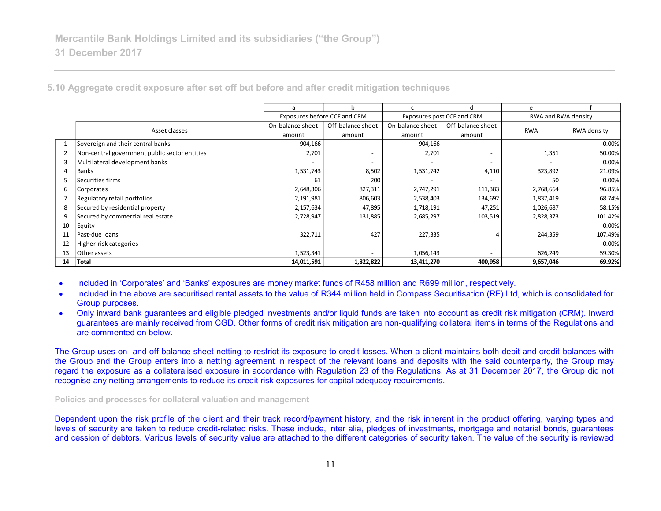|    |                                               | a                | b                            |                  | d                          | e          |                     |  |
|----|-----------------------------------------------|------------------|------------------------------|------------------|----------------------------|------------|---------------------|--|
|    |                                               |                  | Exposures before CCF and CRM |                  | Exposures post CCF and CRM |            | RWA and RWA density |  |
|    | Asset classes                                 | On-balance sheet | Off-balance sheet            | On-balance sheet | Off-balance sheet          | <b>RWA</b> | RWA density         |  |
|    |                                               | amount           | amount                       | amount           | amount                     |            |                     |  |
|    | Sovereign and their central banks             | 904,166          | $\qquad \qquad -$            | 904,166          |                            |            | 0.00%               |  |
|    | Non-central government public sector entities | 2,701            | $\overline{\phantom{a}}$     | 2,701            |                            | 1,351      | 50.00%              |  |
|    | Multilateral development banks                |                  | $\overline{\phantom{a}}$     |                  |                            |            | 0.00%               |  |
| 4  | Banks                                         | 1,531,743        | 8,502                        | 1,531,742        | 4,110                      | 323,892    | 21.09%              |  |
|    | Securities firms                              | 61               | <b>200</b>                   |                  |                            | 50         | 0.00%               |  |
| 6  | <b>Corporates</b>                             | 2,648,306        | 827,311                      | 2,747,291        | 111,383                    | 2,768,664  | 96.85%              |  |
|    | Regulatory retail portfolios                  | 2,191,981        | 806,603                      | 2,538,403        | 134,692                    | 1,837,419  | 68.74%              |  |
| 8  | Secured by residential property               | 2,157,634        | 47,895                       | 1,718,191        | 47,251                     | 1,026,687  | 58.15%              |  |
| 9  | Secured by commercial real estate             | 2,728,947        | 131,885                      | 2,685,297        | 103,519                    | 2,828,373  | 101.42%             |  |
| 10 | Equity                                        |                  | $\qquad \qquad -$            |                  |                            |            | 0.00%               |  |
| 11 | Past-due loans                                | 322,711          | 427                          | 227,335          | 4                          | 244,359    | 107.49%             |  |
| 12 | Higher-risk categories                        |                  | $\overline{\phantom{a}}$     |                  |                            |            | 0.00%               |  |
| 13 | Other assets                                  | 1,523,341        | $\overline{\phantom{0}}$     | 1,056,143        |                            | 626,249    | 59.30%              |  |
| 14 | Total                                         | 14,011,591       | 1,822,822                    | 13,411,270       | 400,958                    | 9,657,046  | 69.92%              |  |

**5.10 Aggregate credit exposure after set off but before and after credit mitigation techniques**

- Included in 'Corporates' and 'Banks' exposures are money market funds of R458 million and R699 million, respectively.
- Included in the above are securitised rental assets to the value of R344 million held in Compass Securitisation (RF) Ltd, which is consolidated for Group purposes.
- Only inward bank guarantees and eligible pledged investments and/or liquid funds are taken into account as credit risk mitigation (CRM). Inward guarantees are mainly received from CGD. Other forms of credit risk mitigation are non-qualifying collateral items in terms of the Regulations and are commented on below.

The Group uses on- and off-balance sheet netting to restrict its exposure to credit losses. When a client maintains both debit and credit balances with the Group and the Group enters into a netting agreement in respect of the relevant loans and deposits with the said counterparty, the Group may regard the exposure as a collateralised exposure in accordance with Regulation 23 of the Regulations. As at 31 December 2017, the Group did not recognise any netting arrangements to reduce its credit risk exposures for capital adequacy requirements.

**Policies and processes for collateral valuation and management**

Dependent upon the risk profile of the client and their track record/payment history, and the risk inherent in the product offering, varying types and levels of security are taken to reduce credit-related risks. These include, inter alia, pledges of investments, mortgage and notarial bonds, guarantees and cession of debtors. Various levels of security value are attached to the different categories of security taken. The value of the security is reviewed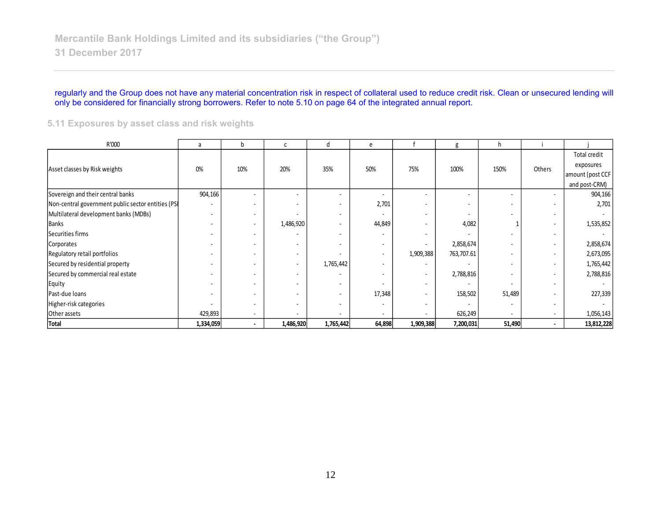#### regularly and the Group does not have any material concentration risk in respect of collateral used to reduce credit risk. Clean or unsecured lending will only be considered for financially strong borrowers. Refer to note 5.10 on page 64 of the integrated annual report.

#### **5.11 Exposures by asset class and risk weights**

| R'000                                             | a                        | b      | C                        | d         | e                        |                          | g          | h.     |        |                  |
|---------------------------------------------------|--------------------------|--------|--------------------------|-----------|--------------------------|--------------------------|------------|--------|--------|------------------|
|                                                   |                          |        |                          |           |                          |                          |            |        |        | Total credit     |
| Asset classes by Risk weights                     | 0%                       | 10%    | 20%                      | 35%       | 50%                      | 75%                      | 100%       | 150%   | Others | exposures        |
|                                                   |                          |        |                          |           |                          |                          |            |        |        | amount (post CCF |
|                                                   |                          |        |                          |           |                          |                          |            |        |        | and post-CRM)    |
| Sovereign and their central banks                 | 904,166                  |        |                          |           | ٠                        | $\overline{\phantom{a}}$ |            |        |        | 904,166          |
| Non-central government public sector entities (PS | ٠                        |        |                          |           | 2,701                    | ٠                        |            | ٠      |        | 2,701            |
| Multilateral development banks (MDBs)             | ٠                        | $\sim$ |                          | $\sim$    | $\overline{\phantom{a}}$ | ٠                        |            | ٠      | $\sim$ |                  |
| <b>Banks</b>                                      | ٠                        | $\sim$ | 1,486,920                | ۰.        | 44,849                   | ٠                        | 4,082      |        | $\sim$ | 1,535,852        |
| Securities firms                                  | ٠                        | $\sim$ | ٠                        | ٠         | $\sim$                   | ٠                        |            | ٠      | ٠      |                  |
| Corporates                                        | ٠                        | $\sim$ | ٠                        | ۰.        | $\sim$                   | $\blacksquare$           | 2,858,674  | ۰      | ٠      | 2,858,674        |
| Regulatory retail portfolios                      | ٠                        | $\sim$ | $\overline{\phantom{a}}$ |           | $\sim$                   | 1,909,388                | 763,707.61 | ۰      | $\sim$ | 2,673,095        |
| Secured by residential property                   | $\overline{\phantom{a}}$ | $\sim$ | $\overline{\phantom{a}}$ | 1,765,442 | $\overline{\phantom{a}}$ | ٠                        |            | ٠      | $\sim$ | 1,765,442        |
| Secured by commercial real estate                 | ٠                        |        | ٠                        |           | $\overline{\phantom{a}}$ | ٠                        | 2,788,816  | ٠      |        | 2,788,816        |
| Equity                                            |                          |        |                          |           |                          | ٠                        |            |        |        |                  |
| Past-due loans                                    | ٠                        |        |                          |           | 17,348                   | $\overline{\phantom{a}}$ | 158,502    | 51,489 |        | 227,339          |
| Higher-risk categories                            |                          | $\sim$ |                          | ٠         | $\overline{\phantom{a}}$ | ٠                        |            |        |        |                  |
| Other assets                                      | 429,893                  | $\sim$ | ٠                        | ٠         | $\sim$                   | ٠                        | 626,249    | ۰.     | $\sim$ | 1,056,143        |
| <b>Total</b>                                      | 1,334,059                | $\sim$ | 1,486,920                | 1,765,442 | 64,898                   | 1,909,388                | 7,200,031  | 51,490 | $\sim$ | 13,812,228       |
|                                                   |                          |        |                          |           |                          |                          |            |        |        |                  |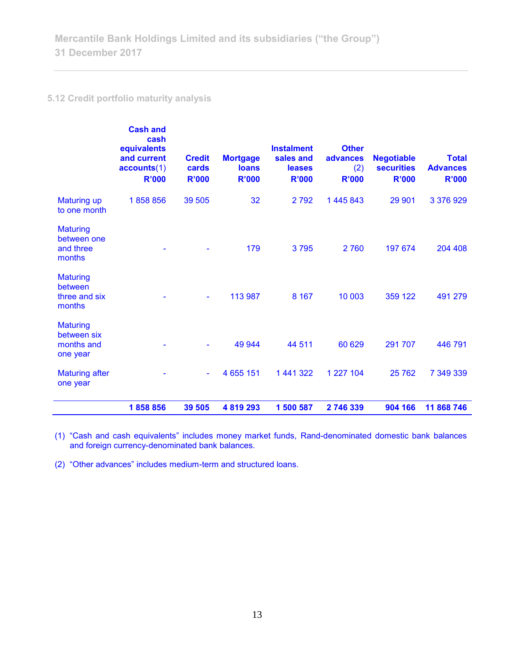## **5.12 Credit portfolio maturity analysis**

|                                                          | <b>Cash and</b><br>cash<br>equivalents<br>and current<br>accounts(1)<br><b>R'000</b> | <b>Credit</b><br>cards<br><b>R'000</b> | <b>Mortgage</b><br><b>loans</b><br><b>R'000</b> | <b>Instalment</b><br>sales and<br>leases<br><b>R'000</b> | <b>Other</b><br>advances<br>(2)<br><b>R'000</b> | <b>Negotiable</b><br><b>securities</b><br><b>R'000</b> | <b>Total</b><br><b>Advances</b><br><b>R'000</b> |
|----------------------------------------------------------|--------------------------------------------------------------------------------------|----------------------------------------|-------------------------------------------------|----------------------------------------------------------|-------------------------------------------------|--------------------------------------------------------|-------------------------------------------------|
| <b>Maturing up</b><br>to one month                       | 1858856                                                                              | 39 505                                 | 32                                              | 2792                                                     | 1 445 843                                       | 29 901                                                 | 3 376 929                                       |
| <b>Maturing</b><br>between one<br>and three<br>months    |                                                                                      |                                        | 179                                             | 3795                                                     | 2760                                            | 197 674                                                | 204 408                                         |
| <b>Maturing</b><br>between<br>three and six<br>months    |                                                                                      | ٠                                      | 113 987                                         | 8 1 6 7                                                  | 10 003                                          | 359 122                                                | 491 279                                         |
| <b>Maturing</b><br>between six<br>months and<br>one year |                                                                                      |                                        | 49 944                                          | 44 511                                                   | 60 629                                          | 291 707                                                | 446 791                                         |
| <b>Maturing after</b><br>one year                        |                                                                                      | ÷,                                     | 4 655 151                                       | 1 441 322                                                | 1 227 104                                       | 25762                                                  | 7 349 339                                       |
|                                                          | 1858856                                                                              | 39 505                                 | 4 8 1 9 2 9 3                                   | 1 500 587                                                | 2746339                                         | 904 166                                                | 11 868 746                                      |

(1) "Cash and cash equivalents" includes money market funds, Rand-denominated domestic bank balances and foreign currency-denominated bank balances.

(2) "Other advances" includes medium-term and structured loans.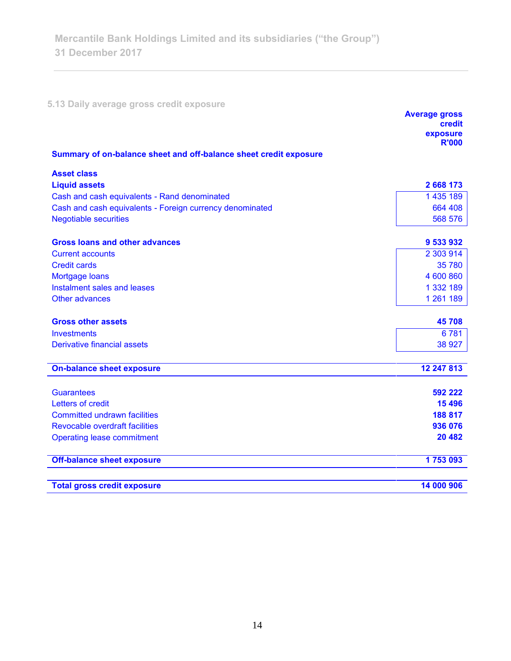**5.13 Daily average gross credit exposure** 

|                                                                   | <b>Average gross</b><br>credit<br>exposure |
|-------------------------------------------------------------------|--------------------------------------------|
|                                                                   | <b>R'000</b>                               |
| Summary of on-balance sheet and off-balance sheet credit exposure |                                            |
| <b>Asset class</b>                                                |                                            |
| <b>Liquid assets</b>                                              | 2 668 173                                  |
| Cash and cash equivalents - Rand denominated                      | 1435189                                    |
| Cash and cash equivalents - Foreign currency denominated          | 664 408                                    |
| <b>Negotiable securities</b>                                      | 568 576                                    |
| <b>Gross loans and other advances</b>                             | 9 533 932                                  |
| <b>Current accounts</b>                                           | 2 303 914                                  |
| <b>Credit cards</b>                                               | 35 780                                     |
| Mortgage loans                                                    | 4 600 860                                  |
| Instalment sales and leases                                       | 1 332 189                                  |
| Other advances                                                    | 1 261 189                                  |
| <b>Gross other assets</b>                                         | 45708                                      |
| <b>Investments</b>                                                | 6781                                       |
| Derivative financial assets                                       | 38 927                                     |
| <b>On-balance sheet exposure</b>                                  | 12 247 813                                 |
| <b>Guarantees</b>                                                 | 592 222                                    |
| Letters of credit                                                 | 15 4 96                                    |
| <b>Committed undrawn facilities</b>                               | 188 817                                    |
| <b>Revocable overdraft facilities</b>                             | 936 076                                    |
| <b>Operating lease commitment</b>                                 | 20 482                                     |
|                                                                   |                                            |
| <b>Off-balance sheet exposure</b>                                 | 1753093                                    |
| <b>Total gross credit exposure</b>                                | 14 000 906                                 |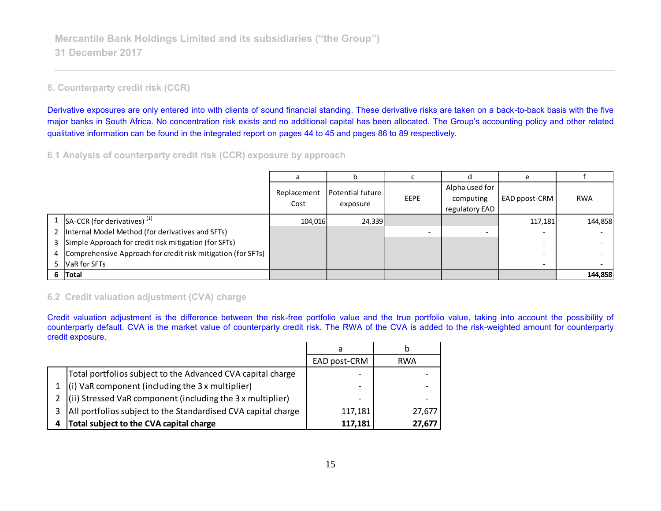## **6. Counterparty credit risk (CCR)**

Derivative exposures are only entered into with clients of sound financial standing. These derivative risks are taken on a back-to-back basis with the five major banks in South Africa. No concentration risk exists and no additional capital has been allocated. The Group's accounting policy and other related qualitative information can be found in the integrated report on pages 44 to 45 and pages 86 to 89 respectively.

**6.1 Analysis of counterparty credit risk (CCR) exposure by approach**

|                                                                |                     | h                            |             |                                               | $\epsilon$    |            |
|----------------------------------------------------------------|---------------------|------------------------------|-------------|-----------------------------------------------|---------------|------------|
|                                                                | Replacement<br>Cost | Potential future<br>exposure | <b>EEPE</b> | Alpha used for<br>computing<br>regulatory EAD | EAD ppost-CRM | <b>RWA</b> |
| 1 SA-CCR (for derivatives) $(1)$                               | 104,016             | 24,339                       |             |                                               | 117,181       | 144,858    |
| 2   Internal Model Method (for derivatives and SFTs)           |                     |                              |             |                                               |               |            |
| 3 Simple Approach for credit risk mitigation (for SFTs)        |                     |                              |             |                                               |               |            |
| 4 Comprehensive Approach for credit risk mitigation (for SFTs) |                     |                              |             |                                               |               |            |
| 5 VaR for SFTs                                                 |                     |                              |             |                                               |               |            |
| 6 Total                                                        |                     |                              |             |                                               |               | 144,858    |
| 6.2 Credit valuation adiustment (CVA) charge                   |                     |                              |             |                                               |               |            |

### **6.2 Credit valuation adjustment (CVA) charge**

Credit valuation adjustment is the difference between the risk-free portfolio value and the true portfolio value, taking into account the possibility of credit exposure.

|                                                                             | EAD post-CRM | <b>RWA</b> |
|-----------------------------------------------------------------------------|--------------|------------|
| Total portfolios subject to the Advanced CVA capital charge                 |              |            |
| $(i)$ VaR component (including the 3 x multiplier)                          |              | -          |
| $\left  \right $ (ii) Stressed VaR component (including the 3 x multiplier) |              |            |
| All portfolios subject to the Standardised CVA capital charge               | 117,181      | 27,677     |
| Total subject to the CVA capital charge<br>4                                | 117,181      | 27,677     |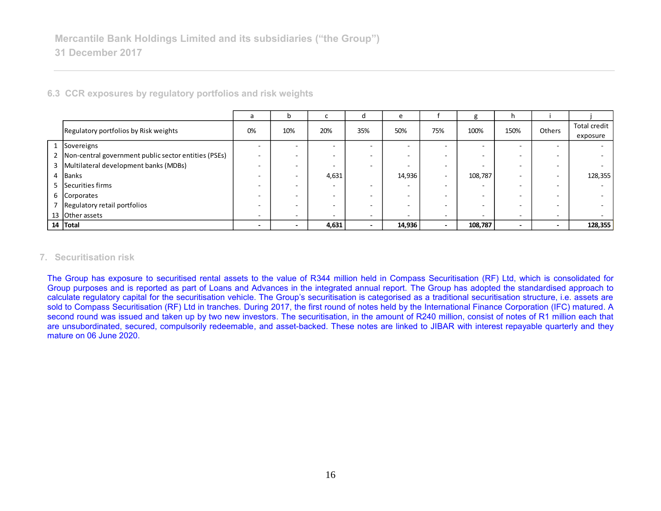| 6.3 CCR exposures by regulatory portfolios and risk weights |                          |     |        |                          |                          |                          |                          |                          |                          |                                 |
|-------------------------------------------------------------|--------------------------|-----|--------|--------------------------|--------------------------|--------------------------|--------------------------|--------------------------|--------------------------|---------------------------------|
|                                                             | a                        | n   |        | d                        | e                        |                          | g                        | h                        |                          |                                 |
| Regulatory portfolios by Risk weights                       | 0%                       | 10% | 20%    | 35%                      | 50%                      | 75%                      | 100%                     | 150%                     | Others                   | <b>Total credit</b><br>exposure |
| 1 Sovereigns                                                | -                        |     |        |                          |                          |                          |                          | ۰                        |                          |                                 |
| 2   Non-central government public sector entities (PSEs)    | $\sim$                   |     |        |                          | $\overline{a}$           | $\overline{\phantom{a}}$ | -                        | $\overline{\phantom{a}}$ |                          |                                 |
| 3   Multilateral development banks (MDBs)                   | -                        |     |        | $\overline{\phantom{0}}$ |                          | $\overline{\phantom{a}}$ |                          | $\overline{\phantom{a}}$ |                          |                                 |
| 4 Banks                                                     | -                        |     | 4,631  |                          | 14,936                   | $\overline{\phantom{a}}$ | 108,787                  | $\overline{\phantom{a}}$ | $\overline{\phantom{0}}$ | 128,355                         |
| 5 Securities firms                                          | -                        |     | $\sim$ | $\overline{\phantom{0}}$ | $\overline{\phantom{a}}$ | $\overline{\phantom{0}}$ | $\overline{\phantom{a}}$ | ۰                        | -                        |                                 |
| 6 Corporates                                                |                          |     |        |                          | $\overline{\phantom{a}}$ | $\sim$                   | $\overline{\phantom{a}}$ | ۰                        | -                        |                                 |
| Regulatory retail portfolios                                |                          |     |        |                          | $\overline{a}$           | $\overline{\phantom{a}}$ | -                        | ۰                        |                          |                                 |
| 13 Other assets                                             | ۰                        | -   |        | $\overline{a}$           | $\overline{a}$           | $\overline{\phantom{0}}$ |                          | $\overline{\phantom{a}}$ | -                        |                                 |
| 14 Total                                                    | $\overline{\phantom{a}}$ |     | 4,631  | $\overline{\phantom{0}}$ | 14,936                   | $\sim$                   | 108,787                  | $\overline{\phantom{a}}$ | $\overline{\phantom{a}}$ | 128,355                         |

#### **7. Securitisation risk**

The Group has exposure to securitised rental assets to the value of R344 million held in Compass Securitisation (RF) Ltd, which is consolidated for Group purposes and is reported as part of Loans and Advances in the integrated annual report. The Group has adopted the standardised approach to calculate regulatory capital for the securitisation vehicle. The Group's securitisation is categorised as a traditional securitisation structure, i.e. assets are sold to Compass Securitisation (RF) Ltd in tranches. During 2017, the first round of notes held by the International Finance Corporation (IFC) matured. A second round was issued and taken up by two new investors. The securitisation, in the amount of R240 million, consist of notes of R1 million each that are unsubordinated, secured, compulsorily redeemable, and asset-backed. These notes are linked to JIBAR with interest repayable quarterly and they mature on 06 June 2020.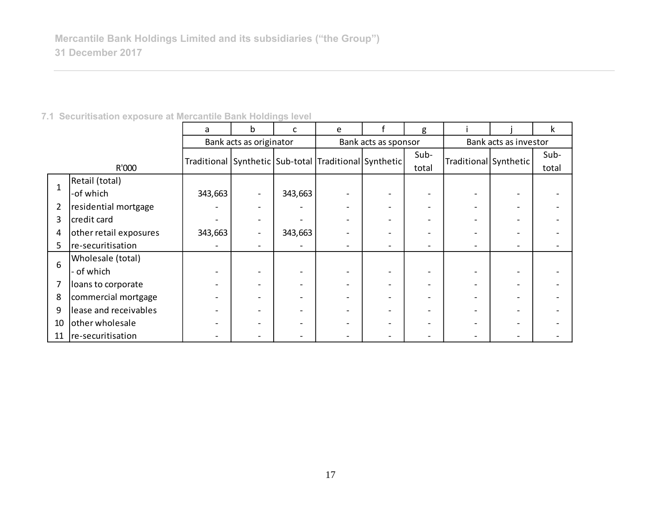| 7.1 Securitisation exposure at Mercantile Bank Holdings level |  |  |
|---------------------------------------------------------------|--|--|
|---------------------------------------------------------------|--|--|

|                |                        | a                                                     | b                        | C                        | e |                      | g     |                       |                       | k     |  |  |
|----------------|------------------------|-------------------------------------------------------|--------------------------|--------------------------|---|----------------------|-------|-----------------------|-----------------------|-------|--|--|
|                |                        |                                                       | Bank acts as originator  |                          |   | Bank acts as sponsor |       |                       | Bank acts as investor |       |  |  |
|                |                        | Traditional Synthetic Sub-total Traditional Synthetic |                          |                          |   |                      | Sub-  | Traditional Synthetic |                       | Sub-  |  |  |
| R'000          |                        |                                                       |                          |                          |   |                      | total |                       |                       | total |  |  |
| 1              | Retail (total)         |                                                       |                          |                          |   |                      |       |                       |                       |       |  |  |
|                | -of which              | 343,663                                               |                          | 343,663                  |   |                      |       |                       |                       |       |  |  |
| $\overline{2}$ | residential mortgage   |                                                       |                          |                          |   |                      |       |                       |                       |       |  |  |
| 3              | credit card            |                                                       | $\overline{\phantom{0}}$ |                          |   |                      |       |                       |                       |       |  |  |
| 4              | other retail exposures | 343,663                                               | $\overline{\phantom{0}}$ | 343,663                  |   |                      |       |                       |                       |       |  |  |
| 5              | re-securitisation      |                                                       |                          | $\overline{\phantom{a}}$ |   |                      |       |                       |                       |       |  |  |
| 6              | Wholesale (total)      |                                                       |                          |                          |   |                      |       |                       |                       |       |  |  |
|                | - of which             |                                                       |                          |                          |   |                      |       |                       |                       |       |  |  |
| 7              | loans to corporate     |                                                       |                          |                          |   |                      |       |                       |                       |       |  |  |
| 8              | commercial mortgage    |                                                       |                          |                          |   |                      |       |                       |                       |       |  |  |
| 9              | lease and receivables  |                                                       |                          |                          |   |                      |       |                       |                       |       |  |  |
| 10             | other wholesale        |                                                       |                          |                          |   |                      |       |                       |                       |       |  |  |
| 11             | re-securitisation      |                                                       |                          |                          |   |                      |       |                       |                       |       |  |  |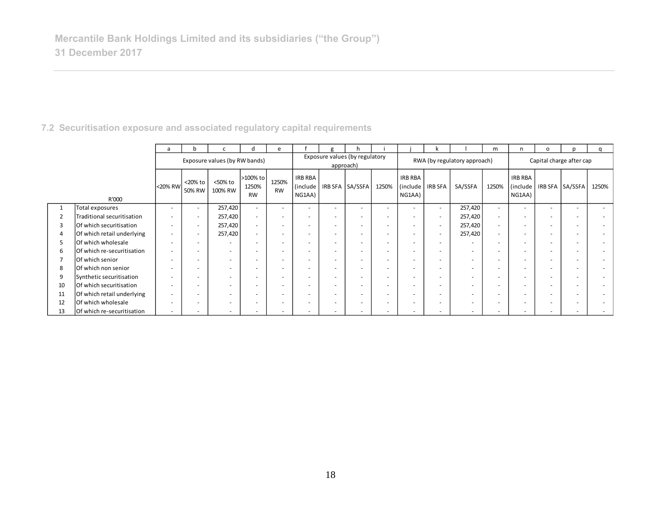|                |                            | a       |                          |                               | п                              | e                  |                               |                          |                                             |                          |                                 |                          |                              | m                        |                                      | $\circ$                  |                          | α                        |
|----------------|----------------------------|---------|--------------------------|-------------------------------|--------------------------------|--------------------|-------------------------------|--------------------------|---------------------------------------------|--------------------------|---------------------------------|--------------------------|------------------------------|--------------------------|--------------------------------------|--------------------------|--------------------------|--------------------------|
|                |                            |         |                          | Exposure values (by RW bands) |                                |                    |                               |                          | Exposure values (by regulatory<br>approach) |                          |                                 |                          | RWA (by regulatory approach) |                          |                                      |                          | Capital charge after cap |                          |
|                | R'000                      | <20% RW | <20% to<br>50% RW        | <50% to<br>100% RW            | >100% to<br>1250%<br><b>RW</b> | 1250%<br><b>RW</b> | IRB RBA<br>(include<br>NG1AA) |                          | IRB SFA SA/SSFA                             | 1250%                    | IRB RBA<br>(include  <br>NG1AA) | <b>IRB SFA</b>           | SA/SSFA                      | 1250%                    | <b>IRB RBA</b><br>(include<br>NG1AA) |                          | IRB SFA   SA/SSFA        | 1250%                    |
|                | Total exposures            |         | $\sim$                   | 257,420                       | $\sim$                         | $\sim$             |                               | $\overline{a}$           |                                             |                          | $\overline{\phantom{a}}$        | $\sim$                   | 257,420                      | $\sim$                   | $\overline{\phantom{a}}$             | $\overline{\phantom{a}}$ |                          | $\overline{\phantom{0}}$ |
| $\overline{2}$ | Traditional securitisation |         | $\overline{\phantom{a}}$ | 257,420                       | $\overline{\phantom{0}}$       | $\overline{a}$     |                               | -                        |                                             |                          | $\overline{\phantom{a}}$        | $\overline{\phantom{0}}$ | 257,420                      | ۰                        |                                      | $\overline{\phantom{a}}$ |                          |                          |
| 3              | Of which securitisation    |         | $\sim$                   | 257,420                       | $\sim$                         | $\sim$             |                               | $\sim$                   |                                             |                          | $\sim$                          | $\overline{a}$           | 257,420                      | $\overline{a}$           |                                      | $\overline{\phantom{a}}$ |                          | $\overline{\phantom{0}}$ |
| 4              | Of which retail underlying |         | $\sim$                   | 257,420                       | $\overline{a}$                 | $\overline{a}$     |                               | $\overline{\phantom{a}}$ | $\overline{\phantom{a}}$                    | $\overline{\phantom{0}}$ | $\sim$                          | $\overline{a}$           | 257,420                      | $\overline{\phantom{a}}$ |                                      | $\overline{\phantom{a}}$ | $\overline{\phantom{a}}$ | $\overline{a}$           |
| 5              | Of which wholesale         |         | $\sim$                   | $\overline{\phantom{a}}$      | $\overline{\phantom{a}}$       | $\sim$             |                               | $\overline{a}$           |                                             |                          | $\sim$                          | $\overline{a}$           | $\sim$                       |                          |                                      | $\overline{\phantom{a}}$ |                          | $\overline{\phantom{0}}$ |
| 6              | Of which re-securitisation |         | $\overline{\phantom{a}}$ | $\overline{\phantom{a}}$      | $\overline{\phantom{0}}$       | $\overline{a}$     |                               | $\sim$                   | $\overline{\phantom{a}}$                    | $\overline{\phantom{0}}$ | $\sim$                          | $\overline{a}$           | $\sim$                       | $\overline{\phantom{a}}$ | $\sim$                               | $\overline{\phantom{a}}$ | $\overline{\phantom{a}}$ | $\overline{\phantom{0}}$ |
| 7              | Of which senior            |         | $\overline{\phantom{a}}$ | $\overline{\phantom{a}}$      | $\overline{\phantom{0}}$       | $\overline{a}$     |                               | $\overline{\phantom{a}}$ | $\overline{\phantom{a}}$                    | $\overline{\phantom{0}}$ | $\sim$                          |                          | $\sim$                       | $\overline{\phantom{a}}$ | $\overline{\phantom{a}}$             | $\overline{\phantom{a}}$ |                          | $\overline{a}$           |
| 8              | Of which non senior        |         | $\overline{\phantom{a}}$ | $\overline{\phantom{a}}$      | $\overline{\phantom{0}}$       | $\overline{a}$     |                               | $\sim$                   | <b>.</b>                                    | $\overline{\phantom{0}}$ | $\sim$                          |                          | $\sim$                       | $\overline{a}$           | $\sim$                               | $\overline{\phantom{a}}$ |                          |                          |
| 9              | Synthetic securitisation   |         | $\overline{\phantom{a}}$ | $\overline{\phantom{a}}$      |                                | $\overline{a}$     |                               | $\overline{\phantom{a}}$ |                                             | $\overline{\phantom{0}}$ | $\sim$                          | $\overline{a}$           | $\sim$                       |                          |                                      | $\overline{\phantom{a}}$ |                          |                          |
| 10             | Of which securitisation    |         | $\overline{\phantom{a}}$ | $\overline{\phantom{a}}$      |                                | $\overline{a}$     |                               | $\overline{\phantom{a}}$ |                                             |                          | -                               |                          | $\sim$                       |                          |                                      | $\overline{\phantom{a}}$ |                          |                          |
| 11             | Of which retail underlying |         | $\overline{\phantom{0}}$ | $\overline{\phantom{a}}$      |                                | $\overline{a}$     |                               | $\overline{a}$           |                                             | -                        | $\sim$                          | $\overline{\phantom{0}}$ | $\sim$                       |                          |                                      | $\overline{\phantom{a}}$ | $\overline{\phantom{a}}$ |                          |
| 12             | Of which wholesale         |         |                          | $\overline{\phantom{a}}$      |                                | $\overline{a}$     |                               |                          |                                             |                          | $\overline{\phantom{a}}$        |                          | $\sim$                       |                          |                                      | $\overline{\phantom{a}}$ |                          |                          |
| 13             | Of which re-securitisation |         | $\overline{\phantom{0}}$ | $\overline{\phantom{a}}$      |                                | ۰                  |                               | -                        |                                             |                          |                                 |                          | $\sim$                       |                          |                                      |                          |                          |                          |

## **7.2 Securitisation exposure and associated regulatory capital requirements**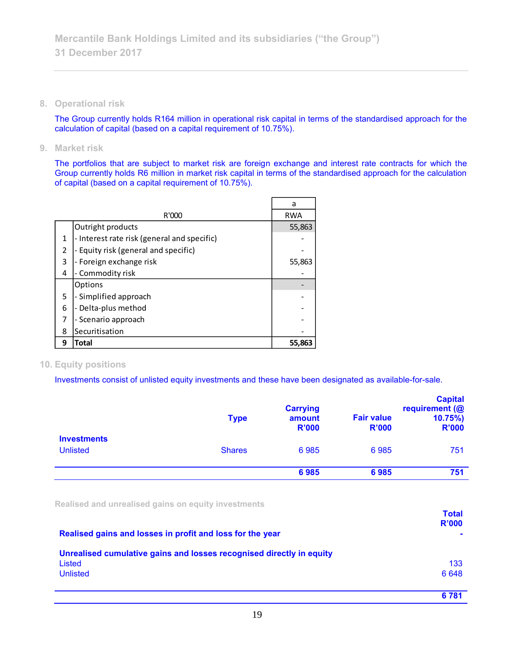**8. Operational risk**

The Group currently holds R164 million in operational risk capital in terms of the standardised approach for the calculation of capital (based on a capital requirement of 10.75%).

**9. Market risk**

The portfolios that are subject to market risk are foreign exchange and interest rate contracts for which the Group currently holds R6 million in market risk capital in terms of the standardised approach for the calculation of capital (based on a capital requirement of 10.75%).

|   |                                             | a          |
|---|---------------------------------------------|------------|
|   | R'000                                       | <b>RWA</b> |
|   | Outright products                           | 55,863     |
| 1 | - Interest rate risk (general and specific) |            |
| 2 | - Equity risk (general and specific)        |            |
| 3 | - Foreign exchange risk                     | 55,863     |
| 4 | - Commodity risk                            |            |
|   | Options                                     |            |
| 5 | - Simplified approach                       |            |
| 6 | - Delta-plus method                         |            |
| 7 | - Scenario approach                         |            |
| 8 | Securitisation                              |            |
| 9 | Total                                       | 55.863     |

## **10. Equity positions**

Investments consist of unlisted equity investments and these have been designated as available-for-sale.

|                                       | <b>Type</b>   | <b>Carrying</b><br>amount<br><b>R'000</b> | <b>Fair value</b><br><b>R'000</b> | <b>Capital</b><br>requirement (@<br>$10.75\%$<br><b>R'000</b> |
|---------------------------------------|---------------|-------------------------------------------|-----------------------------------|---------------------------------------------------------------|
| <b>Investments</b><br><b>Unlisted</b> | <b>Shares</b> | 6985                                      | 6985                              | 751                                                           |
|                                       |               | 6985                                      | 6985                              | 751                                                           |

**Realised and unrealised gains on equity investments**

| Realised gains and losses in profit and loss for the year                      | <b>Total</b><br>R'000 |
|--------------------------------------------------------------------------------|-----------------------|
| Unrealised cumulative gains and losses recognised directly in equity<br>Listed | 133                   |
| <b>Unlisted</b>                                                                | 6648                  |
|                                                                                | 6 7 8 1               |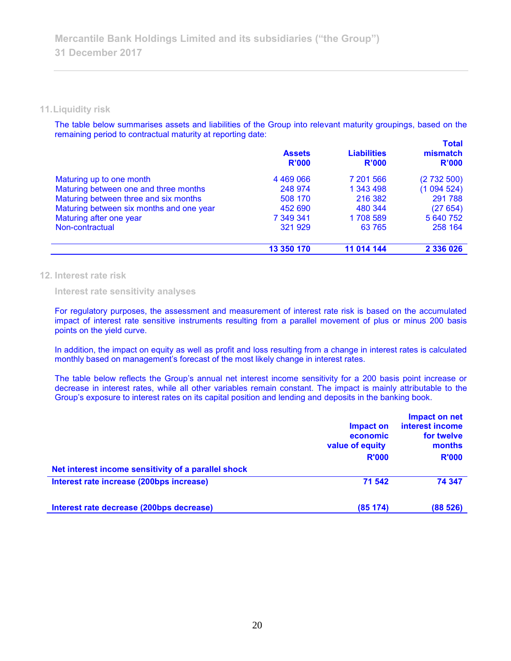#### **11.Liquidity risk**

The table below summarises assets and liabilities of the Group into relevant maturity groupings, based on the remaining period to contractual maturity at reporting date:

|                                          | <b>Assets</b><br><b>R'000</b> | <b>Liabilities</b><br>R'000 | <b>Total</b><br>mismatch<br>R'000 |
|------------------------------------------|-------------------------------|-----------------------------|-----------------------------------|
| Maturing up to one month                 | 4 4 6 9 0 6 6                 | 7 201 566                   | (2732500)                         |
| Maturing between one and three months    | 248 974                       | 1 343 498                   | (1094524)                         |
| Maturing between three and six months    | 508 170                       | 216 382                     | 291 788                           |
| Maturing between six months and one year | 452 690                       | 480 344                     | (27654)                           |
| Maturing after one year                  | 7 349 341                     | 1708 589                    | 5 640 752                         |
| Non-contractual                          | 321 929                       | 63 765                      | 258 164                           |
|                                          | 13 350 170                    | 11 014 144                  | 2 336 026                         |

#### **12. Interest rate risk**

**Interest rate sensitivity analyses**

For regulatory purposes, the assessment and measurement of interest rate risk is based on the accumulated impact of interest rate sensitive instruments resulting from a parallel movement of plus or minus 200 basis points on the yield curve.

In addition, the impact on equity as well as profit and loss resulting from a change in interest rates is calculated monthly based on management's forecast of the most likely change in interest rates.

The table below reflects the Group's annual net interest income sensitivity for a 200 basis point increase or decrease in interest rates, while all other variables remain constant. The impact is mainly attributable to the Group's exposure to interest rates on its capital position and lending and deposits in the banking book.

|                                                     | Impact on<br>economic<br>value of equity<br><b>R'000</b> | Impact on net<br>interest income<br>for twelve<br>months<br><b>R'000</b> |
|-----------------------------------------------------|----------------------------------------------------------|--------------------------------------------------------------------------|
| Net interest income sensitivity of a parallel shock |                                                          |                                                                          |
| Interest rate increase (200bps increase)            | 71 542                                                   | 74 347                                                                   |
| Interest rate decrease (200bps decrease)            | (85174)                                                  | (88526)                                                                  |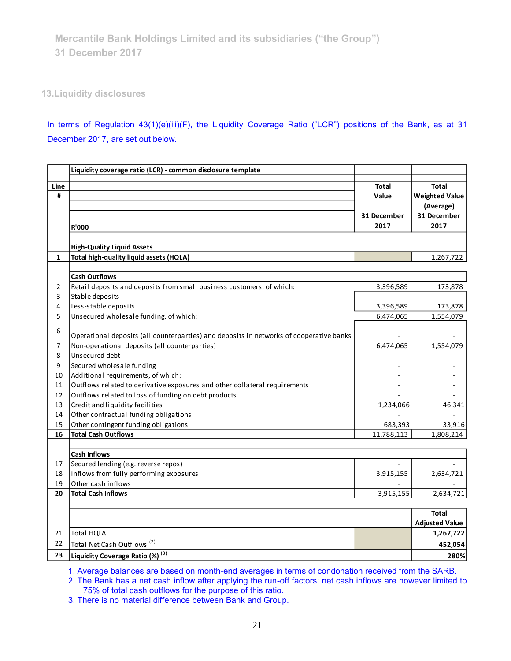## **13.Liquidity disclosures**

In terms of Regulation 43(1)(e)(iii)(F), the Liquidity Coverage Ratio ("LCR") positions of the Bank, as at 31 December 2017, are set out below.

|              | Liquidity coverage ratio (LCR) - common disclosure template                                       |              |                       |
|--------------|---------------------------------------------------------------------------------------------------|--------------|-----------------------|
| Line         |                                                                                                   | <b>Total</b> | <b>Total</b>          |
| #            |                                                                                                   | Value        | <b>Weighted Value</b> |
|              |                                                                                                   |              | (Average)             |
|              |                                                                                                   | 31 December  | 31 December           |
|              | <b>R'000</b>                                                                                      | 2017         | 2017                  |
|              |                                                                                                   |              |                       |
| $\mathbf{1}$ | <b>High-Quality Liquid Assets</b><br>Total high-quality liquid assets (HQLA)                      |              | 1,267,722             |
|              |                                                                                                   |              |                       |
|              | <b>Cash Outflows</b>                                                                              |              |                       |
| 2            | Retail deposits and deposits from small business customers, of which:                             | 3,396,589    | 173,878               |
| 3            | Stable deposits                                                                                   |              |                       |
| 4            | Less-stable deposits                                                                              | 3,396,589    | 173,878               |
| 5            | Unsecured wholesale funding, of which:                                                            | 6,474,065    | 1,554,079             |
| 6            |                                                                                                   |              |                       |
|              | Operational deposits (all counterparties) and deposits in networks of cooperative banks           |              |                       |
| 7            | Non-operational deposits (all counterparties)                                                     | 6,474,065    | 1,554,079             |
| 8            | Unsecured debt                                                                                    |              |                       |
| 9            | Secured wholesale funding                                                                         |              |                       |
| 10           | Additional requirements, of which:                                                                |              |                       |
| 11           | Outflows related to derivative exposures and other collateral requirements                        |              |                       |
| 12           | Outflows related to loss of funding on debt products                                              |              |                       |
| 13           | Credit and liquidity facilities                                                                   | 1,234,066    | 46,341                |
| 14           | Other contractual funding obligations                                                             |              |                       |
| 15           | Other contingent funding obligations                                                              | 683,393      | 33,916                |
| 16           | <b>Total Cash Outflows</b>                                                                        | 11,788,113   | 1,808,214             |
|              |                                                                                                   |              |                       |
|              | <b>Cash Inflows</b>                                                                               |              |                       |
| 17           | Secured lending (e.g. reverse repos)                                                              |              |                       |
| 18           | Inflows from fully performing exposures                                                           | 3,915,155    | 2,634,721             |
| 19           | Other cash inflows                                                                                |              |                       |
| 20           | <b>Total Cash Inflows</b>                                                                         | 3,915,155    | 2,634,721             |
|              |                                                                                                   |              | Total                 |
|              |                                                                                                   |              | <b>Adjusted Value</b> |
| 21           | Total HQLA                                                                                        |              | 1,267,722             |
| 22           | Total Net Cash Outflows <sup>(2)</sup>                                                            |              | 452,054               |
| 23           | Liquidity Coverage Ratio (%) (3)                                                                  |              | 280%                  |
|              | 1 Average belanges are beand on month and averages in terms of condenstion resolved from the CADD |              |                       |

1. Average balances are based on month-end averages in terms of condonation received from the SARB.

2. The Bank has a net cash inflow after applying the run-off factors; net cash inflows are however limited to 75% of total cash outflows for the purpose of this ratio.

3. There is no material difference between Bank and Group.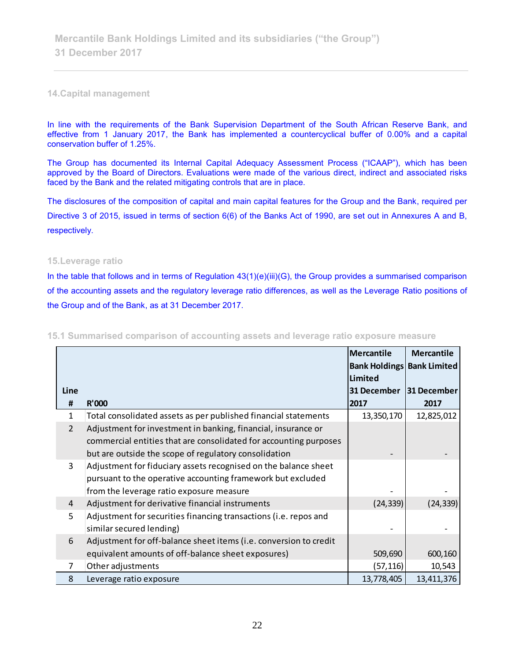#### **14.Capital management**

In line with the requirements of the Bank Supervision Department of the South African Reserve Bank, and effective from 1 January 2017, the Bank has implemented a countercyclical buffer of 0.00% and a capital conservation buffer of 1.25%.

The Group has documented its Internal Capital Adequacy Assessment Process ("ICAAP"), which has been approved by the Board of Directors. Evaluations were made of the various direct, indirect and associated risks faced by the Bank and the related mitigating controls that are in place.

The disclosures of the composition of capital and main capital features for the Group and the Bank, required per Directive 3 of 2015, issued in terms of section 6(6) of the Banks Act of 1990, are set out in Annexures A and B, respectively.

#### **15.Leverage ratio**

In the table that follows and in terms of Regulation 43(1)(e)(iii)(G), the Group provides a summarised comparison of the accounting assets and the regulatory leverage ratio differences, as well as the Leverage Ratio positions of the Group and of the Bank, as at 31 December 2017.

| Line<br>31 December<br><b>R'000</b><br>2017<br>#<br>2017<br>Total consolidated assets as per published financial statements<br>13,350,170<br>$\mathbf{1}$<br>2<br>Adjustment for investment in banking, financial, insurance or<br>commercial entities that are consolidated for accounting purposes<br>but are outside the scope of regulatory consolidation<br>3<br>Adjustment for fiduciary assets recognised on the balance sheet<br>pursuant to the operative accounting framework but excluded<br>from the leverage ratio exposure measure<br>Adjustment for derivative financial instruments<br>(24, 339)<br>(24, 339)<br>4<br>5<br>Adjustment for securities financing transactions (i.e. repos and<br>similar secured lending)<br>Adjustment for off-balance sheet items (i.e. conversion to credit<br>6<br>equivalent amounts of off-balance sheet exposures)<br>509,690<br>Other adjustments<br>(57, 116)<br>10,543<br>7<br>13,778,405<br>8<br>Leverage ratio exposure |  | Mercantile<br><b>Bank Holdings Bank Limited</b><br>Limited | <b>Mercantile</b> |
|-----------------------------------------------------------------------------------------------------------------------------------------------------------------------------------------------------------------------------------------------------------------------------------------------------------------------------------------------------------------------------------------------------------------------------------------------------------------------------------------------------------------------------------------------------------------------------------------------------------------------------------------------------------------------------------------------------------------------------------------------------------------------------------------------------------------------------------------------------------------------------------------------------------------------------------------------------------------------------------|--|------------------------------------------------------------|-------------------|
|                                                                                                                                                                                                                                                                                                                                                                                                                                                                                                                                                                                                                                                                                                                                                                                                                                                                                                                                                                                   |  |                                                            | 31 December       |
|                                                                                                                                                                                                                                                                                                                                                                                                                                                                                                                                                                                                                                                                                                                                                                                                                                                                                                                                                                                   |  |                                                            |                   |
|                                                                                                                                                                                                                                                                                                                                                                                                                                                                                                                                                                                                                                                                                                                                                                                                                                                                                                                                                                                   |  |                                                            | 12,825,012        |
|                                                                                                                                                                                                                                                                                                                                                                                                                                                                                                                                                                                                                                                                                                                                                                                                                                                                                                                                                                                   |  |                                                            |                   |
|                                                                                                                                                                                                                                                                                                                                                                                                                                                                                                                                                                                                                                                                                                                                                                                                                                                                                                                                                                                   |  |                                                            |                   |
|                                                                                                                                                                                                                                                                                                                                                                                                                                                                                                                                                                                                                                                                                                                                                                                                                                                                                                                                                                                   |  |                                                            |                   |
|                                                                                                                                                                                                                                                                                                                                                                                                                                                                                                                                                                                                                                                                                                                                                                                                                                                                                                                                                                                   |  |                                                            |                   |
|                                                                                                                                                                                                                                                                                                                                                                                                                                                                                                                                                                                                                                                                                                                                                                                                                                                                                                                                                                                   |  |                                                            | 600,160           |
|                                                                                                                                                                                                                                                                                                                                                                                                                                                                                                                                                                                                                                                                                                                                                                                                                                                                                                                                                                                   |  |                                                            |                   |
|                                                                                                                                                                                                                                                                                                                                                                                                                                                                                                                                                                                                                                                                                                                                                                                                                                                                                                                                                                                   |  |                                                            | 13,411,376        |

**15.1 Summarised comparison of accounting assets and leverage ratio exposure measure**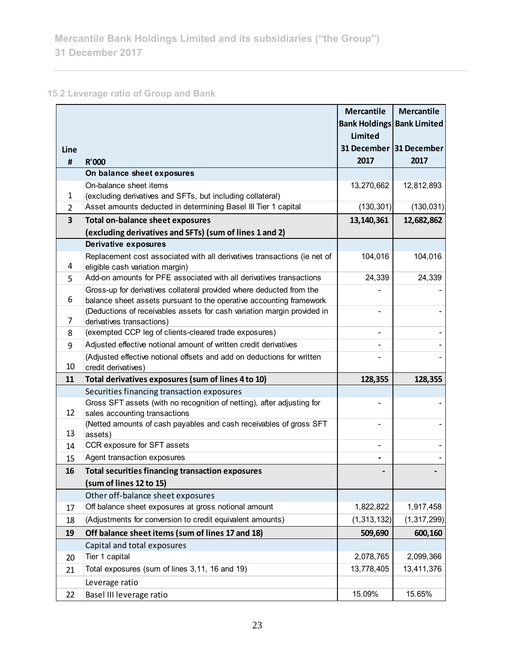# **15.2 Leverage ratio of Group and Bank**

|                |                                                                                                      | <b>Mercantile</b><br><b>Bank Holdings Bank Limited</b> | <b>Mercantile</b> |
|----------------|------------------------------------------------------------------------------------------------------|--------------------------------------------------------|-------------------|
|                |                                                                                                      | <b>Limited</b>                                         |                   |
| Line           |                                                                                                      | 31 December 31 December                                |                   |
| #              | <b>R'000</b>                                                                                         | 2017                                                   | 2017              |
|                | On balance sheet exposures                                                                           |                                                        |                   |
|                | On-balance sheet items                                                                               | 13,270,662                                             | 12,812,893        |
| 1              | (excluding derivatives and SFTs, but including collateral)                                           |                                                        |                   |
| $\overline{2}$ | Asset amounts deducted in determining Basel III Tier 1 capital                                       | (130, 301)                                             | (130, 031)        |
| 3              | <b>Total on-balance sheet exposures</b>                                                              | 13,140,361                                             | 12,682,862        |
|                | (excluding derivatives and SFTs) (sum of lines 1 and 2)                                              |                                                        |                   |
|                | Derivative exposures                                                                                 |                                                        |                   |
|                | Replacement cost associated with all derivatives transactions (ie net of                             | 104,016                                                | 104,016           |
| 4              | eligible cash variation margin)                                                                      |                                                        |                   |
| 5              | Add-on amounts for PFE associated with all derivatives transactions                                  | 24,339                                                 | 24,339            |
|                | Gross-up for derivatives collateral provided where deducted from the                                 |                                                        |                   |
| 6              | balance sheet assets pursuant to the operative accounting framework                                  |                                                        |                   |
| 7              | (Deductions of receivables assets for cash variation margin provided in<br>derivatives transactions) |                                                        |                   |
| 8              | (exempted CCP leg of clients-cleared trade exposures)                                                |                                                        |                   |
| 9              | Adjusted effective notional amount of written credit derivatives                                     |                                                        |                   |
|                | (Adjusted effective notional offsets and add on deductions for written                               |                                                        |                   |
| 10             | credit derivatives)                                                                                  |                                                        |                   |
| 11             | Total derivatives exposures (sum of lines 4 to 10)                                                   | 128,355                                                | 128,355           |
|                | Securities financing transaction exposures                                                           |                                                        |                   |
|                | Gross SFT assets (with no recognition of netting), after adjusting for                               |                                                        |                   |
| 12             | sales accounting transactions                                                                        |                                                        |                   |
|                | (Netted amounts of cash payables and cash receivables of gross SFT                                   |                                                        |                   |
| 13             | assets)                                                                                              |                                                        |                   |
| 14             | CCR exposure for SFT assets                                                                          |                                                        |                   |
| 15             | Agent transaction exposures                                                                          |                                                        |                   |
| 16             | <b>Total securities financing transaction exposures</b>                                              |                                                        |                   |
|                | (sum of lines 12 to 15)                                                                              |                                                        |                   |
|                | Other off-balance sheet exposures                                                                    |                                                        |                   |
| 17             | Off balance sheet exposures at gross notional amount                                                 | 1,822,822                                              | 1,917,458         |
| 18             | (Adjustments for conversion to credit equivalent amounts)                                            | (1, 313, 132)                                          | (1, 317, 299)     |
| 19             | Off balance sheet items (sum of lines 17 and 18)                                                     | 509,690                                                | 600,160           |
|                | Capital and total exposures                                                                          |                                                        |                   |
| 20             | Tier 1 capital                                                                                       | 2,078,765                                              | 2,099,366         |
| 21             | Total exposures (sum of lines 3,11, 16 and 19)                                                       | 13,778,405                                             | 13,411,376        |
|                | Leverage ratio                                                                                       |                                                        |                   |
| 22             | Basel III leverage ratio                                                                             | 15.09%                                                 | 15.65%            |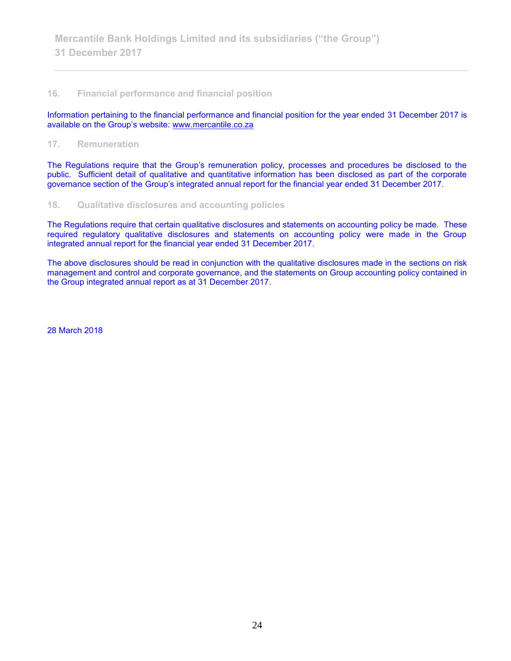#### **16. Financial performance and financial position**

Information pertaining to the financial performance and financial position for the year ended 31 December 2017 is available on the Group's website: [www.mercantile.co.za](http://www.mercantile.co.za/)

#### **17. Remuneration**

The Regulations require that the Group's remuneration policy, processes and procedures be disclosed to the public. Sufficient detail of qualitative and quantitative information has been disclosed as part of the corporate governance section of the Group's integrated annual report for the financial year ended 31 December 2017.

#### **18. Qualitative disclosures and accounting policies**

The Regulations require that certain qualitative disclosures and statements on accounting policy be made. These required regulatory qualitative disclosures and statements on accounting policy were made in the Group integrated annual report for the financial year ended 31 December 2017.

The above disclosures should be read in conjunction with the qualitative disclosures made in the sections on risk management and control and corporate governance, and the statements on Group accounting policy contained in the Group integrated annual report as at 31 December 2017.

28 March 2018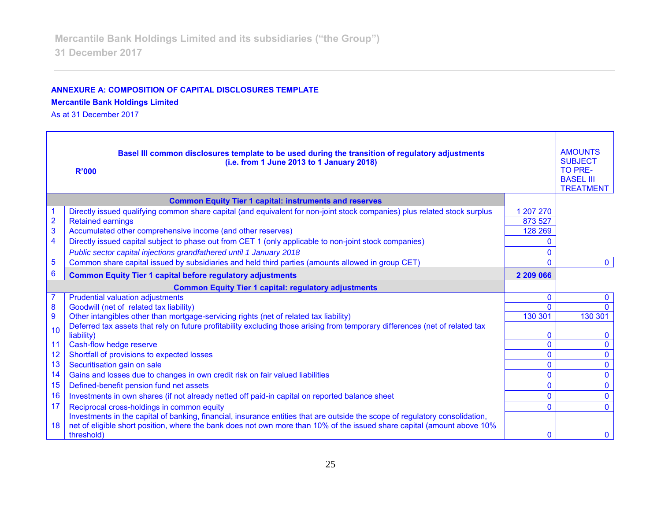## **ANNEXURE A: COMPOSITION OF CAPITAL DISCLOSURES TEMPLATE**

#### **Mercantile Bank Holdings Limited**

As at 31 December 2017

|                         | Basel III common disclosures template to be used during the transition of regulatory adjustments<br>(i.e. from 1 June 2013 to 1 January 2018)<br><b>R'000</b> |              |              |  |
|-------------------------|---------------------------------------------------------------------------------------------------------------------------------------------------------------|--------------|--------------|--|
|                         | <b>Common Equity Tier 1 capital: instruments and reserves</b>                                                                                                 |              |              |  |
|                         | Directly issued qualifying common share capital (and equivalent for non-joint stock companies) plus related stock surplus                                     | 1 207 270    |              |  |
| $\overline{\mathbf{c}}$ | <b>Retained earnings</b>                                                                                                                                      | 873 527      |              |  |
| 3                       | Accumulated other comprehensive income (and other reserves)                                                                                                   | 128 269      |              |  |
| $\overline{\mathbf{4}}$ | Directly issued capital subject to phase out from CET 1 (only applicable to non-joint stock companies)                                                        | $\Omega$     |              |  |
|                         | Public sector capital injections grandfathered until 1 January 2018                                                                                           | $\Omega$     |              |  |
| 5                       | Common share capital issued by subsidiaries and held third parties (amounts allowed in group CET)                                                             | $\Omega$     | $\mathbf{0}$ |  |
| 6                       | <b>Common Equity Tier 1 capital before regulatory adjustments</b>                                                                                             | 2 209 066    |              |  |
|                         | <b>Common Equity Tier 1 capital: regulatory adjustments</b>                                                                                                   |              |              |  |
|                         | <b>Prudential valuation adjustments</b>                                                                                                                       | $\bf{0}$     | $\mathbf{0}$ |  |
| 8                       | Goodwill (net of related tax liability)                                                                                                                       | $\Omega$     |              |  |
| $\overline{9}$          | Other intangibles other than mortgage-servicing rights (net of related tax liability)                                                                         | 130 301      | 130 301      |  |
| 10                      | Deferred tax assets that rely on future profitability excluding those arising from temporary differences (net of related tax                                  |              |              |  |
|                         | liability)                                                                                                                                                    | $\mathbf 0$  | $\Omega$     |  |
| 11                      | Cash-flow hedge reserve                                                                                                                                       | $\mathbf{0}$ | $\Omega$     |  |
| 12                      | Shortfall of provisions to expected losses                                                                                                                    | $\mathbf{0}$ | $\mathbf{0}$ |  |
| 13                      | Securitisation gain on sale                                                                                                                                   | 0            | $\mathbf{0}$ |  |
| 14                      | Gains and losses due to changes in own credit risk on fair valued liabilities                                                                                 | $\mathbf{0}$ | $\mathbf{0}$ |  |
| 15                      | Defined-benefit pension fund net assets                                                                                                                       | $\mathbf{0}$ | $\mathbf{0}$ |  |
| 16                      | Investments in own shares (if not already netted off paid-in capital on reported balance sheet                                                                | $\mathbf{0}$ | $\Omega$     |  |
| 17                      | Reciprocal cross-holdings in common equity                                                                                                                    | $\Omega$     | $\Omega$     |  |
|                         | Investments in the capital of banking, financial, insurance entities that are outside the scope of regulatory consolidation,                                  |              |              |  |
| 18                      | net of eligible short position, where the bank does not own more than 10% of the issued share capital (amount above 10%<br>threshold)                         | $\mathbf 0$  | $\mathbf{0}$ |  |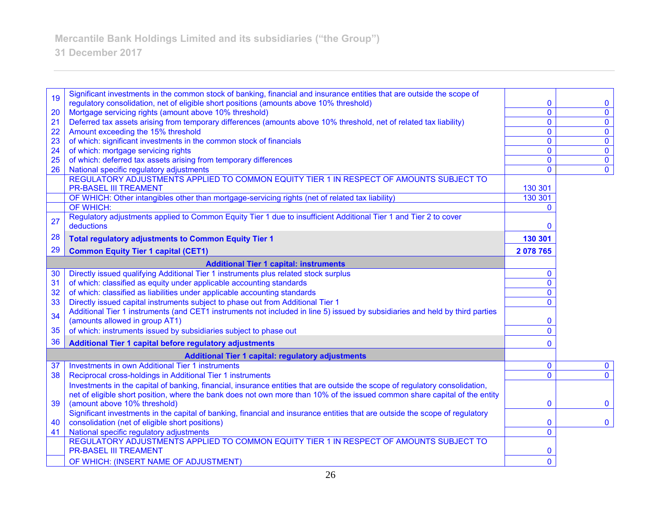# **31 December 2017**

|    | Significant investments in the common stock of banking, financial and insurance entities that are outside the scope of              |                |                         |
|----|-------------------------------------------------------------------------------------------------------------------------------------|----------------|-------------------------|
| 19 | regulatory consolidation, net of eligible short positions (amounts above 10% threshold)                                             | $\mathbf 0$    | $\mathbf 0$             |
| 20 | Mortgage servicing rights (amount above 10% threshold)                                                                              | $\overline{0}$ | $\mathbf 0$             |
| 21 | Deferred tax assets arising from temporary differences (amounts above 10% threshold, net of related tax liability)                  | $\overline{0}$ | $\overline{\mathbf{0}}$ |
| 22 | Amount exceeding the 15% threshold                                                                                                  | $\mathbf 0$    | $\mathbf 0$             |
| 23 | of which: significant investments in the common stock of financials                                                                 | $\mathbf 0$    | $\overline{\mathbf{0}}$ |
| 24 | of which: mortgage servicing rights                                                                                                 | $\mathbf 0$    | $\mathbf{0}$            |
| 25 | of which: deferred tax assets arising from temporary differences                                                                    | $\mathbf 0$    | $\pmb{0}$               |
| 26 | National specific regulatory adjustments                                                                                            | $\mathbf{0}$   | $\overline{0}$          |
|    | REGULATORY ADJUSTMENTS APPLIED TO COMMON EQUITY TIER 1 IN RESPECT OF AMOUNTS SUBJECT TO                                             |                |                         |
|    | <b>PR-BASEL III TREAMENT</b>                                                                                                        | 130 301        |                         |
|    | OF WHICH: Other intangibles other than mortgage-servicing rights (net of related tax liability)                                     | 130 301        |                         |
|    | OF WHICH:                                                                                                                           | $\mathbf{0}$   |                         |
| 27 | Regulatory adjustments applied to Common Equity Tier 1 due to insufficient Additional Tier 1 and Tier 2 to cover                    |                |                         |
|    | deductions                                                                                                                          | 0              |                         |
| 28 | <b>Total regulatory adjustments to Common Equity Tier 1</b>                                                                         | 130 301        |                         |
| 29 | <b>Common Equity Tier 1 capital (CET1)</b>                                                                                          | 2 078 765      |                         |
|    | <b>Additional Tier 1 capital: instruments</b>                                                                                       |                |                         |
| 30 | Directly issued qualifying Additional Tier 1 instruments plus related stock surplus                                                 | $\mathbf{0}$   |                         |
| 31 | of which: classified as equity under applicable accounting standards                                                                | $\mathbf{0}$   |                         |
| 32 | of which: classified as liabilities under applicable accounting standards                                                           | 0              |                         |
| 33 | Directly issued capital instruments subject to phase out from Additional Tier 1                                                     | $\mathbf{0}$   |                         |
| 34 | Additional Tier 1 instruments (and CET1 instruments not included in line 5) issued by subsidiaries and held by third parties        |                |                         |
|    | (amounts allowed in group AT1)                                                                                                      | $\mathbf 0$    |                         |
| 35 | of which: instruments issued by subsidiaries subject to phase out                                                                   | $\overline{0}$ |                         |
| 36 | Additional Tier 1 capital before regulatory adjustments                                                                             | $\mathbf{0}$   |                         |
|    | <b>Additional Tier 1 capital: regulatory adjustments</b>                                                                            |                |                         |
| 37 | <b>Investments in own Additional Tier 1 instruments</b>                                                                             | $\mathbf 0$    | $\mathbf 0$             |
| 38 | Reciprocal cross-holdings in Additional Tier 1 instruments                                                                          | $\Omega$       | $\mathbf{0}$            |
|    | Investments in the capital of banking, financial, insurance entities that are outside the scope of regulatory consolidation,        |                |                         |
|    | net of eligible short position, where the bank does not own more than 10% of the issued common share capital of the entity          |                |                         |
| 39 | (amount above 10% threshold)                                                                                                        | $\bf{0}$       | $\mathbf 0$             |
|    | Significant investments in the capital of banking, financial and insurance entities that are outside the scope of regulatory        |                |                         |
| 40 | consolidation (net of eligible short positions)                                                                                     | 0              | $\mathbf 0$             |
| 41 | National specific regulatory adjustments<br>REGULATORY ADJUSTMENTS APPLIED TO COMMON EQUITY TIER 1 IN RESPECT OF AMOUNTS SUBJECT TO | $\overline{0}$ |                         |
|    | <b>PR-BASEL III TREAMENT</b>                                                                                                        |                |                         |
|    |                                                                                                                                     | 0              |                         |
|    | OF WHICH: (INSERT NAME OF ADJUSTMENT)                                                                                               | $\overline{0}$ |                         |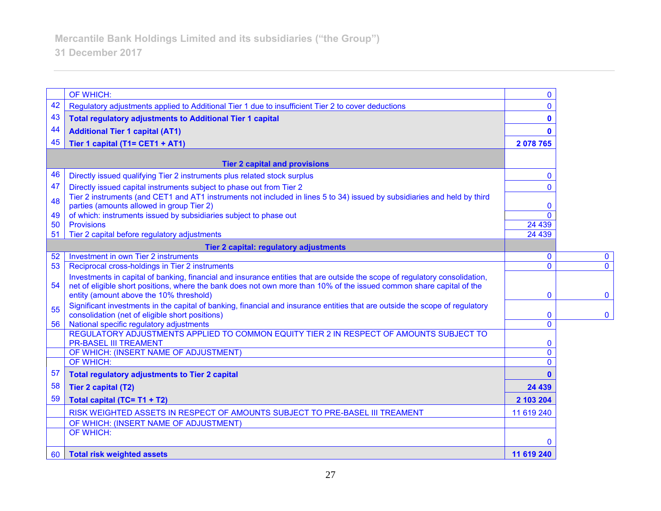|    | OF WHICH:                                                                                                                                                                       | $\mathbf{0}$   |              |
|----|---------------------------------------------------------------------------------------------------------------------------------------------------------------------------------|----------------|--------------|
| 42 | Regulatory adjustments applied to Additional Tier 1 due to insufficient Tier 2 to cover deductions                                                                              | $\mathbf{0}$   |              |
| 43 | <b>Total regulatory adjustments to Additional Tier 1 capital</b>                                                                                                                | $\mathbf 0$    |              |
| 44 | <b>Additional Tier 1 capital (AT1)</b>                                                                                                                                          | $\mathbf{0}$   |              |
| 45 | Tier 1 capital (T1= CET1 + AT1)                                                                                                                                                 | 2078765        |              |
|    |                                                                                                                                                                                 |                |              |
|    | <b>Tier 2 capital and provisions</b>                                                                                                                                            |                |              |
| 46 | Directly issued qualifying Tier 2 instruments plus related stock surplus                                                                                                        | $\mathbf{0}$   |              |
| 47 | Directly issued capital instruments subject to phase out from Tier 2                                                                                                            | $\mathbf{0}$   |              |
| 48 | Tier 2 instruments (and CET1 and AT1 instruments not included in lines 5 to 34) issued by subsidiaries and held by third<br>parties (amounts allowed in group Tier 2)           | $\mathbf 0$    |              |
| 49 | of which: instruments issued by subsidiaries subject to phase out                                                                                                               | $\Omega$       |              |
| 50 | <b>Provisions</b>                                                                                                                                                               | 24 4 39        |              |
| 51 | Tier 2 capital before regulatory adjustments                                                                                                                                    | 24 4 39        |              |
|    | Tier 2 capital: regulatory adjustments                                                                                                                                          |                |              |
| 52 | Investment in own Tier 2 instruments                                                                                                                                            | $\mathbf 0$    | $\mathbf 0$  |
| 53 | Reciprocal cross-holdings in Tier 2 instruments                                                                                                                                 | $\mathbf{0}$   | $\Omega$     |
|    | Investments in capital of banking, financial and insurance entities that are outside the scope of regulatory consolidation,                                                     |                |              |
| 54 | net of eligible short positions, where the bank does not own more than 10% of the issued common share capital of the                                                            |                |              |
|    | entity (amount above the 10% threshold)                                                                                                                                         | $\mathbf 0$    | $\mathbf 0$  |
| 55 | Significant investments in the capital of banking, financial and insurance entities that are outside the scope of regulatory<br>consolidation (net of eligible short positions) | $\mathbf 0$    | $\mathbf{0}$ |
| 56 | National specific regulatory adjustments                                                                                                                                        | $\mathbf 0$    |              |
|    | REGULATORY ADJUSTMENTS APPLIED TO COMMON EQUITY TIER 2 IN RESPECT OF AMOUNTS SUBJECT TO                                                                                         |                |              |
|    | <b>PR-BASEL III TREAMENT</b>                                                                                                                                                    | $\mathbf 0$    |              |
|    | OF WHICH: (INSERT NAME OF ADJUSTMENT)                                                                                                                                           | $\overline{0}$ |              |
|    | <b>OF WHICH:</b>                                                                                                                                                                | $\Omega$       |              |
| 57 | <b>Total regulatory adjustments to Tier 2 capital</b>                                                                                                                           | $\bf{0}$       |              |
| 58 | Tier 2 capital (T2)                                                                                                                                                             | 24 439         |              |
| 59 | Total capital (TC= T1 + T2)                                                                                                                                                     | 2 103 204      |              |
|    | RISK WEIGHTED ASSETS IN RESPECT OF AMOUNTS SUBJECT TO PRE-BASEL III TREAMENT                                                                                                    | 11 619 240     |              |
|    | OF WHICH: (INSERT NAME OF ADJUSTMENT)                                                                                                                                           |                |              |
|    | <b>OF WHICH:</b>                                                                                                                                                                | $\Omega$       |              |
| 60 | Total risk weighted assets                                                                                                                                                      | 11 619 240     |              |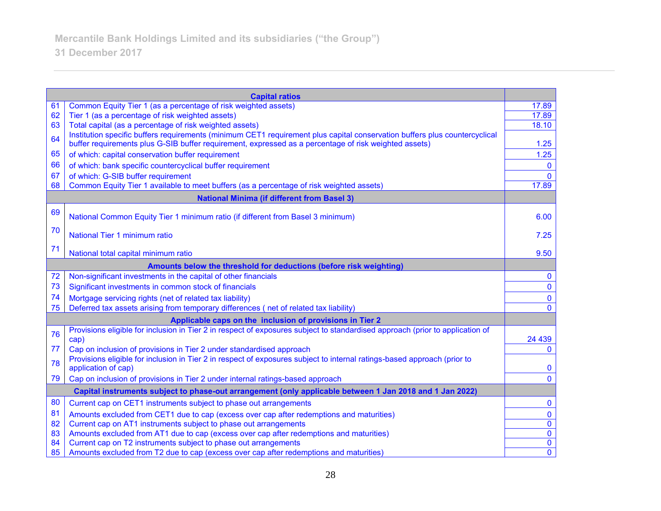|    | <b>Capital ratios</b>                                                                                                                                        |                                        |
|----|--------------------------------------------------------------------------------------------------------------------------------------------------------------|----------------------------------------|
| 61 | Common Equity Tier 1 (as a percentage of risk weighted assets)                                                                                               | 17.89                                  |
| 62 | Tier 1 (as a percentage of risk weighted assets)                                                                                                             | 17.89                                  |
| 63 | Total capital (as a percentage of risk weighted assets)                                                                                                      | 18.10                                  |
| 64 | Institution specific buffers requirements (minimum CET1 requirement plus capital conservation buffers plus countercyclical                                   |                                        |
|    | buffer requirements plus G-SIB buffer requirement, expressed as a percentage of risk weighted assets)                                                        | 1.25                                   |
| 65 | of which: capital conservation buffer requirement                                                                                                            | 1.25                                   |
| 66 | of which: bank specific countercyclical buffer requirement                                                                                                   | $\mathbf{0}$                           |
| 67 | of which: G-SIB buffer requirement<br>Common Equity Tier 1 available to meet buffers (as a percentage of risk weighted assets)                               | $\mathbf{0}$<br>17.89                  |
| 68 |                                                                                                                                                              |                                        |
|    | <b>National Minima (if different from Basel 3)</b>                                                                                                           |                                        |
| 69 | National Common Equity Tier 1 minimum ratio (if different from Basel 3 minimum)                                                                              | 6.00                                   |
| 70 | National Tier 1 minimum ratio                                                                                                                                | 7.25                                   |
| 71 |                                                                                                                                                              |                                        |
|    | National total capital minimum ratio                                                                                                                         | 9.50                                   |
|    | Amounts below the threshold for deductions (before risk weighting)                                                                                           |                                        |
| 72 | Non-significant investments in the capital of other financials                                                                                               | $\mathbf 0$                            |
| 73 | Significant investments in common stock of financials                                                                                                        | $\mathbf 0$                            |
| 74 | Mortgage servicing rights (net of related tax liability)                                                                                                     | $\mathbf 0$                            |
| 75 | Deferred tax assets arising from temporary differences (net of related tax liability)                                                                        | $\Omega$                               |
|    | Applicable caps on the inclusion of provisions in Tier 2                                                                                                     |                                        |
| 76 | Provisions eligible for inclusion in Tier 2 in respect of exposures subject to standardised approach (prior to application of<br>cap)                        | 24 4 39                                |
| 77 | Cap on inclusion of provisions in Tier 2 under standardised approach                                                                                         | $\mathbf 0$                            |
| 78 | Provisions eligible for inclusion in Tier 2 in respect of exposures subject to internal ratings-based approach (prior to<br>application of cap)              | $\mathbf 0$                            |
| 79 | Cap on inclusion of provisions in Tier 2 under internal ratings-based approach                                                                               | $\mathbf{0}$                           |
|    | Capital instruments subject to phase-out arrangement (only applicable between 1 Jan 2018 and 1 Jan 2022)                                                     |                                        |
| 80 |                                                                                                                                                              | $\mathbf 0$                            |
| 81 | Current cap on CET1 instruments subject to phase out arrangements                                                                                            |                                        |
| 82 | Amounts excluded from CET1 due to cap (excess over cap after redemptions and maturities)<br>Current cap on AT1 instruments subject to phase out arrangements | $\mathbf 0$<br>$\overline{\mathbf{0}}$ |
| 83 | Amounts excluded from AT1 due to cap (excess over cap after redemptions and maturities)                                                                      | $\overline{\mathbf{0}}$                |
| 84 | Current cap on T2 instruments subject to phase out arrangements                                                                                              | $\overline{\mathbf{0}}$                |
| 85 | Amounts excluded from T2 due to cap (excess over cap after redemptions and maturities)                                                                       | $\overline{0}$                         |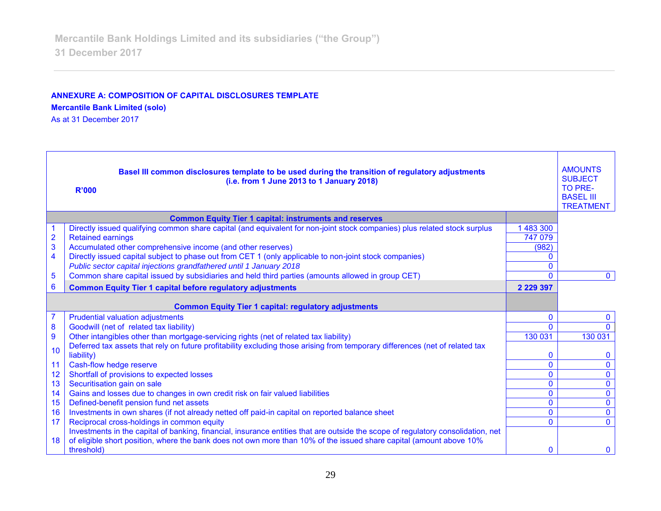### **ANNEXURE A: COMPOSITION OF CAPITAL DISCLOSURES TEMPLATE**

**Mercantile Bank Limited (solo)**

As at 31 December 2017

| Basel III common disclosures template to be used during the transition of regulatory adjustments<br>(i.e. from 1 June 2013 to 1 January 2018)<br><b>R'000</b> |                                                                                                                                                                                                                                                                       |               | <b>AMOUNTS</b><br><b>SUBJECT</b><br>TO PRE-<br><b>BASEL III</b><br><b>TREATMENT</b> |
|---------------------------------------------------------------------------------------------------------------------------------------------------------------|-----------------------------------------------------------------------------------------------------------------------------------------------------------------------------------------------------------------------------------------------------------------------|---------------|-------------------------------------------------------------------------------------|
|                                                                                                                                                               | <b>Common Equity Tier 1 capital: instruments and reserves</b>                                                                                                                                                                                                         |               |                                                                                     |
|                                                                                                                                                               | Directly issued qualifying common share capital (and equivalent for non-joint stock companies) plus related stock surplus                                                                                                                                             | 1 483 300     |                                                                                     |
| $\overline{2}$                                                                                                                                                | <b>Retained earnings</b>                                                                                                                                                                                                                                              | 747 079       |                                                                                     |
| 3                                                                                                                                                             | Accumulated other comprehensive income (and other reserves)                                                                                                                                                                                                           | (982)         |                                                                                     |
| 4                                                                                                                                                             | Directly issued capital subject to phase out from CET 1 (only applicable to non-joint stock companies)                                                                                                                                                                |               |                                                                                     |
|                                                                                                                                                               | Public sector capital injections grandfathered until 1 January 2018                                                                                                                                                                                                   |               |                                                                                     |
| 5                                                                                                                                                             | Common share capital issued by subsidiaries and held third parties (amounts allowed in group CET)                                                                                                                                                                     | $\Omega$      | $\Omega$                                                                            |
| 6                                                                                                                                                             | <b>Common Equity Tier 1 capital before regulatory adjustments</b>                                                                                                                                                                                                     | 2 2 2 3 3 3 7 |                                                                                     |
|                                                                                                                                                               | <b>Common Equity Tier 1 capital: regulatory adjustments</b>                                                                                                                                                                                                           |               |                                                                                     |
| $\overline{7}$                                                                                                                                                | <b>Prudential valuation adjustments</b>                                                                                                                                                                                                                               | 0             | $\Omega$                                                                            |
| 8                                                                                                                                                             | Goodwill (net of related tax liability)                                                                                                                                                                                                                               | 0             |                                                                                     |
| 9                                                                                                                                                             | Other intangibles other than mortgage-servicing rights (net of related tax liability)                                                                                                                                                                                 | 130 031       | 130 031                                                                             |
| 10                                                                                                                                                            | Deferred tax assets that rely on future profitability excluding those arising from temporary differences (net of related tax                                                                                                                                          |               |                                                                                     |
|                                                                                                                                                               | liability)                                                                                                                                                                                                                                                            | 0             | $\Omega$                                                                            |
| 11                                                                                                                                                            | Cash-flow hedge reserve                                                                                                                                                                                                                                               | 0             | $\Omega$                                                                            |
| 12                                                                                                                                                            | Shortfall of provisions to expected losses                                                                                                                                                                                                                            | 0             | $\mathbf{0}$                                                                        |
| 13                                                                                                                                                            | Securitisation gain on sale                                                                                                                                                                                                                                           | 0             | $\mathbf 0$                                                                         |
| 14                                                                                                                                                            | Gains and losses due to changes in own credit risk on fair valued liabilities                                                                                                                                                                                         | 0             | $\mathbf{0}$                                                                        |
| 15                                                                                                                                                            | Defined-benefit pension fund net assets                                                                                                                                                                                                                               | $\mathbf{0}$  | $\mathbf{0}$                                                                        |
| 16                                                                                                                                                            | Investments in own shares (if not already netted off paid-in capital on reported balance sheet                                                                                                                                                                        | $\mathbf 0$   | $\mathbf{0}$                                                                        |
| 17                                                                                                                                                            | Reciprocal cross-holdings in common equity                                                                                                                                                                                                                            | $\Omega$      | $\Omega$                                                                            |
| 18                                                                                                                                                            | Investments in the capital of banking, financial, insurance entities that are outside the scope of regulatory consolidation, net<br>of eligible short position, where the bank does not own more than 10% of the issued share capital (amount above 10%<br>threshold) | O             | $\Omega$                                                                            |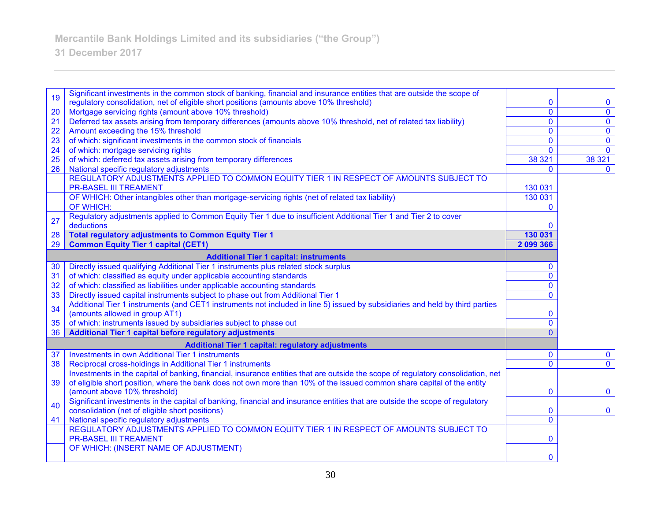# **31 December 2017**

|    | Significant investments in the common stock of banking, financial and insurance entities that are outside the scope of           |                |                         |
|----|----------------------------------------------------------------------------------------------------------------------------------|----------------|-------------------------|
| 19 | regulatory consolidation, net of eligible short positions (amounts above 10% threshold)                                          | 0              | $\mathbf 0$             |
| 20 | Mortgage servicing rights (amount above 10% threshold)                                                                           | $\overline{0}$ | $\mathbf 0$             |
| 21 | Deferred tax assets arising from temporary differences (amounts above 10% threshold, net of related tax liability)               | $\overline{0}$ | $\overline{\mathbf{0}}$ |
| 22 | Amount exceeding the 15% threshold                                                                                               | $\mathbf 0$    | $\pmb{0}$               |
| 23 | of which: significant investments in the common stock of financials                                                              | $\mathbf{0}$   | $\mathbf 0$             |
| 24 | of which: mortgage servicing rights                                                                                              | $\mathbf{0}$   | $\overline{0}$          |
| 25 | of which: deferred tax assets arising from temporary differences                                                                 | 38 321         | 38 321                  |
| 26 | National specific regulatory adjustments                                                                                         | 0              | $\mathbf{0}$            |
|    | REGULATORY ADJUSTMENTS APPLIED TO COMMON EQUITY TIER 1 IN RESPECT OF AMOUNTS SUBJECT TO                                          |                |                         |
|    | <b>PR-BASEL III TREAMENT</b>                                                                                                     | 130 031        |                         |
|    | OF WHICH: Other intangibles other than mortgage-servicing rights (net of related tax liability)                                  | 130 031        |                         |
|    | OF WHICH:                                                                                                                        | $\Omega$       |                         |
| 27 | Regulatory adjustments applied to Common Equity Tier 1 due to insufficient Additional Tier 1 and Tier 2 to cover                 |                |                         |
|    | deductions                                                                                                                       | 0              |                         |
| 28 | <b>Total regulatory adjustments to Common Equity Tier 1</b>                                                                      | 130 031        |                         |
| 29 | <b>Common Equity Tier 1 capital (CET1)</b>                                                                                       | 2 099 366      |                         |
|    | <b>Additional Tier 1 capital: instruments</b>                                                                                    |                |                         |
| 30 | Directly issued qualifying Additional Tier 1 instruments plus related stock surplus                                              | $\mathbf{0}$   |                         |
| 31 | of which: classified as equity under applicable accounting standards                                                             | $\mathbf 0$    |                         |
| 32 | of which: classified as liabilities under applicable accounting standards                                                        | $\mathbf{0}$   |                         |
| 33 | Directly issued capital instruments subject to phase out from Additional Tier 1                                                  | $\Omega$       |                         |
| 34 | Additional Tier 1 instruments (and CET1 instruments not included in line 5) issued by subsidiaries and held by third parties     |                |                         |
|    | (amounts allowed in group AT1)                                                                                                   | 0              |                         |
| 35 | of which: instruments issued by subsidiaries subject to phase out                                                                | $\overline{0}$ |                         |
| 36 | <b>Additional Tier 1 capital before regulatory adjustments</b>                                                                   | $\Omega$       |                         |
|    | <b>Additional Tier 1 capital: regulatory adjustments</b>                                                                         |                |                         |
| 37 | <b>Investments in own Additional Tier 1 instruments</b>                                                                          | 0              | $\mathbf 0$             |
| 38 | Reciprocal cross-holdings in Additional Tier 1 instruments                                                                       | $\mathbf{0}$   | $\overline{0}$          |
|    | Investments in the capital of banking, financial, insurance entities that are outside the scope of regulatory consolidation, net |                |                         |
| 39 | of eligible short position, where the bank does not own more than 10% of the issued common share capital of the entity           |                |                         |
|    | (amount above 10% threshold)                                                                                                     | 0              | $\mathbf 0$             |
| 40 | Significant investments in the capital of banking, financial and insurance entities that are outside the scope of regulatory     |                |                         |
|    | consolidation (net of eligible short positions)                                                                                  | $\mathbf 0$    | $\mathbf 0$             |
| 41 | National specific regulatory adjustments                                                                                         | $\overline{0}$ |                         |
|    | REGULATORY ADJUSTMENTS APPLIED TO COMMON EQUITY TIER 1 IN RESPECT OF AMOUNTS SUBJECT TO                                          |                |                         |
|    | <b>PR-BASEL III TREAMENT</b>                                                                                                     | $\mathbf 0$    |                         |
|    | OF WHICH: (INSERT NAME OF ADJUSTMENT)                                                                                            |                |                         |
|    |                                                                                                                                  | $\mathbf{0}$   |                         |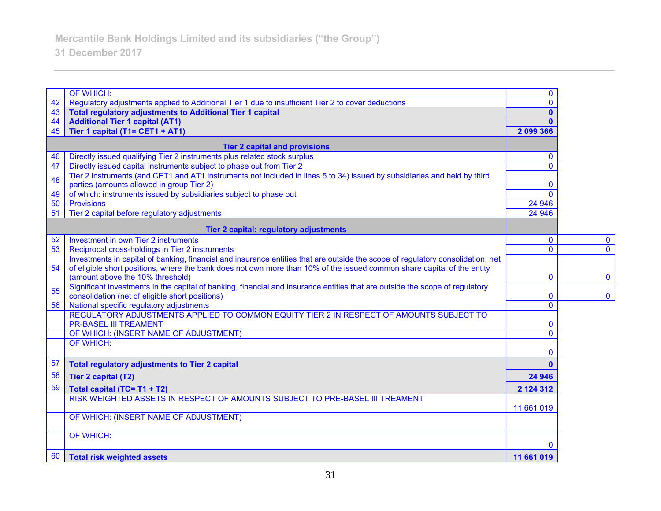|    | <b>OF WHICH:</b>                                                                                                                | $\mathbf{0}$ |                         |
|----|---------------------------------------------------------------------------------------------------------------------------------|--------------|-------------------------|
| 42 | Regulatory adjustments applied to Additional Tier 1 due to insufficient Tier 2 to cover deductions                              | $\mathbf{0}$ |                         |
| 43 | <b>Total regulatory adjustments to Additional Tier 1 capital</b>                                                                | $\mathbf{0}$ |                         |
| 44 | <b>Additional Tier 1 capital (AT1)</b>                                                                                          | $\mathbf{0}$ |                         |
| 45 | Tier 1 capital (T1= CET1 + AT1)                                                                                                 | 2 099 366    |                         |
|    | <b>Tier 2 capital and provisions</b>                                                                                            |              |                         |
| 46 | Directly issued qualifying Tier 2 instruments plus related stock surplus                                                        | $\mathbf{0}$ |                         |
| 47 | Directly issued capital instruments subject to phase out from Tier 2                                                            | $\mathbf{0}$ |                         |
| 48 | Tier 2 instruments (and CET1 and AT1 instruments not included in lines 5 to 34) issued by subsidiaries and held by third        |              |                         |
|    | parties (amounts allowed in group Tier 2)                                                                                       | 0            |                         |
| 49 | of which: instruments issued by subsidiaries subject to phase out                                                               | $\Omega$     |                         |
| 50 | <b>Provisions</b>                                                                                                               | 24 946       |                         |
| 51 | Tier 2 capital before regulatory adjustments                                                                                    | 24 946       |                         |
|    | Tier 2 capital: regulatory adjustments                                                                                          |              |                         |
| 52 | Investment in own Tier 2 instruments                                                                                            | 0            | $\mathbf 0$             |
| 53 | Reciprocal cross-holdings in Tier 2 instruments                                                                                 | $\mathbf{0}$ | $\overline{\mathbf{0}}$ |
|    | Investments in capital of banking, financial and insurance entities that are outside the scope of regulatory consolidation, net |              |                         |
| 54 | of eligible short positions, where the bank does not own more than 10% of the issued common share capital of the entity         |              |                         |
|    | (amount above the 10% threshold)                                                                                                | $\mathbf{0}$ | $\bf{0}$                |
| 55 | Significant investments in the capital of banking, financial and insurance entities that are outside the scope of regulatory    |              |                         |
|    | consolidation (net of eligible short positions)                                                                                 | $\mathbf{0}$ | $\bf{0}$                |
| 56 | National specific regulatory adjustments                                                                                        | 0            |                         |
|    | REGULATORY ADJUSTMENTS APPLIED TO COMMON EQUITY TIER 2 IN RESPECT OF AMOUNTS SUBJECT TO<br><b>PR-BASEL III TREAMENT</b>         | 0            |                         |
|    | OF WHICH: (INSERT NAME OF ADJUSTMENT)                                                                                           | 0            |                         |
|    | OF WHICH:                                                                                                                       |              |                         |
|    |                                                                                                                                 | 0            |                         |
| 57 | <b>Total regulatory adjustments to Tier 2 capital</b>                                                                           | $\mathbf{0}$ |                         |
| 58 | <b>Tier 2 capital (T2)</b>                                                                                                      | 24 946       |                         |
| 59 | Total capital (TC= T1 + T2)                                                                                                     | 2 124 312    |                         |
|    | RISK WEIGHTED ASSETS IN RESPECT OF AMOUNTS SUBJECT TO PRE-BASEL III TREAMENT                                                    |              |                         |
|    |                                                                                                                                 | 11 661 019   |                         |
|    | OF WHICH: (INSERT NAME OF ADJUSTMENT)                                                                                           |              |                         |
|    | <b>OF WHICH:</b>                                                                                                                |              |                         |
|    |                                                                                                                                 | $\Omega$     |                         |
| 60 | <b>Total risk weighted assets</b>                                                                                               | 11 661 019   |                         |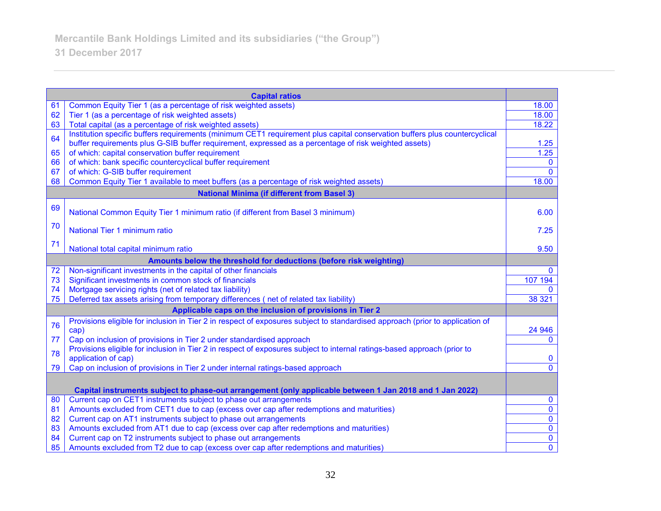|                                                                    | <b>Capital ratios</b>                                                                                                         |                         |
|--------------------------------------------------------------------|-------------------------------------------------------------------------------------------------------------------------------|-------------------------|
| 61                                                                 | Common Equity Tier 1 (as a percentage of risk weighted assets)                                                                | 18.00                   |
| 62                                                                 | Tier 1 (as a percentage of risk weighted assets)                                                                              | 18.00                   |
| 63                                                                 | Total capital (as a percentage of risk weighted assets)                                                                       | 18.22                   |
| 64                                                                 | Institution specific buffers requirements (minimum CET1 requirement plus capital conservation buffers plus countercyclical    |                         |
|                                                                    | buffer requirements plus G-SIB buffer requirement, expressed as a percentage of risk weighted assets)                         | 1.25                    |
| 65                                                                 | of which: capital conservation buffer requirement                                                                             | 1.25                    |
| 66                                                                 | of which: bank specific countercyclical buffer requirement                                                                    | $\mathbf{0}$            |
| 67                                                                 | of which: G-SIB buffer requirement                                                                                            | $\Omega$                |
| 68                                                                 | Common Equity Tier 1 available to meet buffers (as a percentage of risk weighted assets)                                      | 18.00                   |
|                                                                    | <b>National Minima (if different from Basel 3)</b>                                                                            |                         |
| 69                                                                 | National Common Equity Tier 1 minimum ratio (if different from Basel 3 minimum)                                               | 6.00                    |
|                                                                    |                                                                                                                               |                         |
| 70                                                                 | National Tier 1 minimum ratio                                                                                                 | 7.25                    |
|                                                                    |                                                                                                                               |                         |
| 71                                                                 | National total capital minimum ratio                                                                                          | 9.50                    |
| Amounts below the threshold for deductions (before risk weighting) |                                                                                                                               |                         |
| 72                                                                 | Non-significant investments in the capital of other financials                                                                | $\Omega$                |
| 73                                                                 | Significant investments in common stock of financials                                                                         | 107 194                 |
| 74                                                                 | Mortgage servicing rights (net of related tax liability)                                                                      | $\Omega$                |
| 75                                                                 | Deferred tax assets arising from temporary differences (net of related tax liability)                                         | 38 321                  |
|                                                                    | Applicable caps on the inclusion of provisions in Tier 2                                                                      |                         |
| 76                                                                 | Provisions eligible for inclusion in Tier 2 in respect of exposures subject to standardised approach (prior to application of |                         |
|                                                                    | cap)                                                                                                                          | 24 946                  |
| 77                                                                 | Cap on inclusion of provisions in Tier 2 under standardised approach                                                          | $\mathbf{0}$            |
| 78                                                                 | Provisions eligible for inclusion in Tier 2 in respect of exposures subject to internal ratings-based approach (prior to      |                         |
|                                                                    | application of cap)                                                                                                           | $\bf{0}$                |
| 79                                                                 | Cap on inclusion of provisions in Tier 2 under internal ratings-based approach                                                | $\mathbf{0}$            |
|                                                                    |                                                                                                                               |                         |
|                                                                    | Capital instruments subject to phase-out arrangement (only applicable between 1 Jan 2018 and 1 Jan 2022)                      |                         |
| 80                                                                 | Current cap on CET1 instruments subject to phase out arrangements                                                             | $\bf{0}$                |
| 81                                                                 | Amounts excluded from CET1 due to cap (excess over cap after redemptions and maturities)                                      | $\overline{\mathbf{0}}$ |
| 82                                                                 | Current cap on AT1 instruments subject to phase out arrangements                                                              | $\overline{0}$          |
| 83                                                                 | Amounts excluded from AT1 due to cap (excess over cap after redemptions and maturities)                                       | $\overline{0}$          |
| 84                                                                 | Current cap on T2 instruments subject to phase out arrangements                                                               | $\overline{\mathbf{0}}$ |
| 85                                                                 | Amounts excluded from T2 due to cap (excess over cap after redemptions and maturities)                                        | $\overline{0}$          |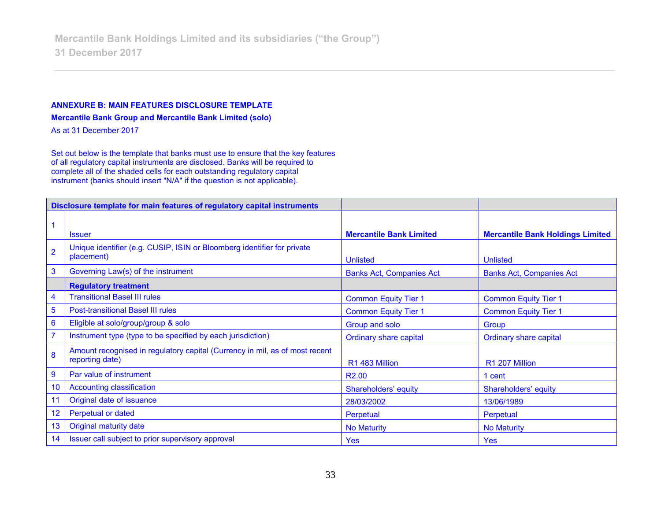#### **ANNEXURE B: MAIN FEATURES DISCLOSURE TEMPLATE**

**Mercantile Bank Group and Mercantile Bank Limited (solo)**

As at 31 December 2017

Set out below is the template that banks must use to ensure that the key features of all regulatory capital instruments are disclosed. Banks will be required to complete all of the shaded cells for each outstanding regulatory capital instrument (banks should insert "N/A" if the question is not applicable).

| Disclosure template for main features of regulatory capital instruments |                                                                                                |                                 |                                         |
|-------------------------------------------------------------------------|------------------------------------------------------------------------------------------------|---------------------------------|-----------------------------------------|
|                                                                         |                                                                                                |                                 |                                         |
|                                                                         | <b>Issuer</b>                                                                                  | <b>Mercantile Bank Limited</b>  | <b>Mercantile Bank Holdings Limited</b> |
| $\overline{2}$                                                          | Unique identifier (e.g. CUSIP, ISIN or Bloomberg identifier for private<br>placement)          | <b>Unlisted</b>                 | <b>Unlisted</b>                         |
| $\mathbf{3}$                                                            | Governing Law(s) of the instrument                                                             | <b>Banks Act, Companies Act</b> | <b>Banks Act, Companies Act</b>         |
|                                                                         | <b>Regulatory treatment</b>                                                                    |                                 |                                         |
| 4                                                                       | <b>Transitional Basel III rules</b>                                                            | <b>Common Equity Tier 1</b>     | <b>Common Equity Tier 1</b>             |
| $\overline{5}$                                                          | <b>Post-transitional Basel III rules</b>                                                       | <b>Common Equity Tier 1</b>     | <b>Common Equity Tier 1</b>             |
| $6\phantom{1}6$                                                         | Eligible at solo/group/group & solo                                                            | Group and solo                  | Group                                   |
| $\overline{7}$                                                          | Instrument type (type to be specified by each jurisdiction)                                    | <b>Ordinary share capital</b>   | <b>Ordinary share capital</b>           |
| 8                                                                       | Amount recognised in regulatory capital (Currency in mil, as of most recent<br>reporting date) | R1 483 Million                  | R1 207 Million                          |
| $\boldsymbol{9}$                                                        | Par value of instrument                                                                        | R <sub>2.00</sub>               | 1 cent                                  |
| 10                                                                      | <b>Accounting classification</b>                                                               | Shareholders' equity            | Shareholders' equity                    |
| 11                                                                      | Original date of issuance                                                                      | 28/03/2002                      | 13/06/1989                              |
| 12                                                                      | Perpetual or dated                                                                             | Perpetual                       | Perpetual                               |
| 13                                                                      | Original maturity date                                                                         | <b>No Maturity</b>              | <b>No Maturity</b>                      |
| 14                                                                      | Issuer call subject to prior supervisory approval                                              | <b>Yes</b>                      | Yes                                     |